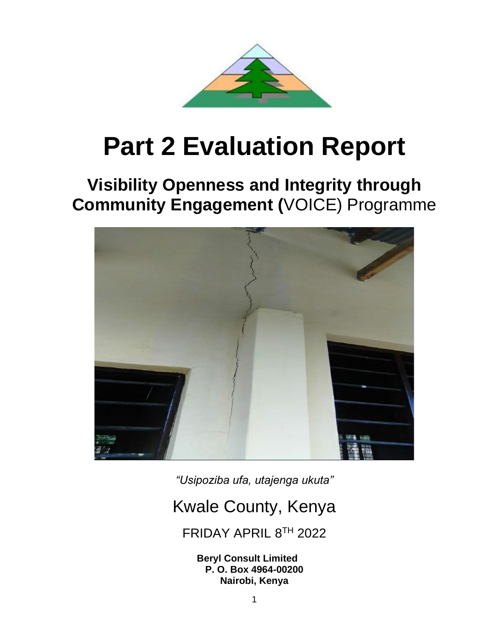

# **Part 2 Evaluation Report**

# **Visibility Openness and Integrity through Community Engagement (**VOICE) Programme



*"Usipoziba ufa, utajenga ukuta"*

# Kwale County, Kenya

FRIDAY APRIL 8TH 2022

 **Beryl Consult Limited P. O. Box 4964-00200 Nairobi, Kenya**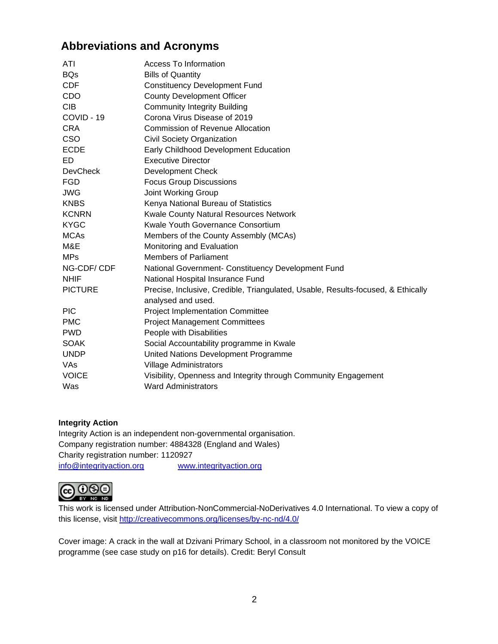# <span id="page-1-0"></span>**Abbreviations and Acronyms**

| <b>Access To Information</b>                                                                           |
|--------------------------------------------------------------------------------------------------------|
| <b>Bills of Quantity</b>                                                                               |
| <b>Constituency Development Fund</b>                                                                   |
| <b>County Development Officer</b>                                                                      |
| <b>Community Integrity Building</b>                                                                    |
| Corona Virus Disease of 2019                                                                           |
| <b>Commission of Revenue Allocation</b>                                                                |
| Civil Society Organization                                                                             |
| Early Childhood Development Education                                                                  |
| <b>Executive Director</b>                                                                              |
| <b>Development Check</b>                                                                               |
| <b>Focus Group Discussions</b>                                                                         |
| Joint Working Group                                                                                    |
| Kenya National Bureau of Statistics                                                                    |
| Kwale County Natural Resources Network                                                                 |
| Kwale Youth Governance Consortium                                                                      |
| Members of the County Assembly (MCAs)                                                                  |
| Monitoring and Evaluation                                                                              |
| <b>Members of Parliament</b>                                                                           |
| National Government- Constituency Development Fund                                                     |
| National Hospital Insurance Fund                                                                       |
| Precise, Inclusive, Credible, Triangulated, Usable, Results-focused, & Ethically<br>analysed and used. |
| <b>Project Implementation Committee</b>                                                                |
| <b>Project Management Committees</b>                                                                   |
| People with Disabilities                                                                               |
| Social Accountability programme in Kwale                                                               |
| United Nations Development Programme                                                                   |
| <b>Village Administrators</b>                                                                          |
| Visibility, Openness and Integrity through Community Engagement                                        |
| <b>Ward Administrators</b>                                                                             |
|                                                                                                        |

#### **Integrity Action**

Integrity Action is an independent non-governmental organisation. Company registration number: 4884328 (England and Wales) Charity registration number: 1120927 [info@integrityaction.org](mailto:info@integrityaction.org) [www.integrityaction.org](http://www.integrityaction.org/)



This work is licensed under Attribution-NonCommercial-NoDerivatives 4.0 International. To view a copy of this license, visit<http://creativecommons.org/licenses/by-nc-nd/4.0/>

Cover image: A crack in the wall at Dzivani Primary School, in a classroom not monitored by the VOICE programme (see case study on p16 for details). Credit: Beryl Consult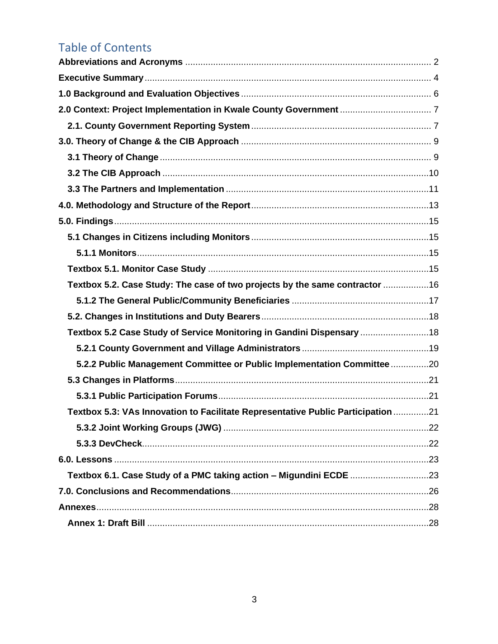# **Table of Contents**

| Textbox 5.2. Case Study: The case of two projects by the same contractor 16      |  |
|----------------------------------------------------------------------------------|--|
|                                                                                  |  |
|                                                                                  |  |
| Textbox 5.2 Case Study of Service Monitoring in Gandini Dispensary  18           |  |
|                                                                                  |  |
| 5.2.2 Public Management Committee or Public Implementation Committee20           |  |
|                                                                                  |  |
|                                                                                  |  |
| Textbox 5.3: VAs Innovation to Facilitate Representative Public Participation 21 |  |
|                                                                                  |  |
|                                                                                  |  |
|                                                                                  |  |
|                                                                                  |  |
|                                                                                  |  |
|                                                                                  |  |
|                                                                                  |  |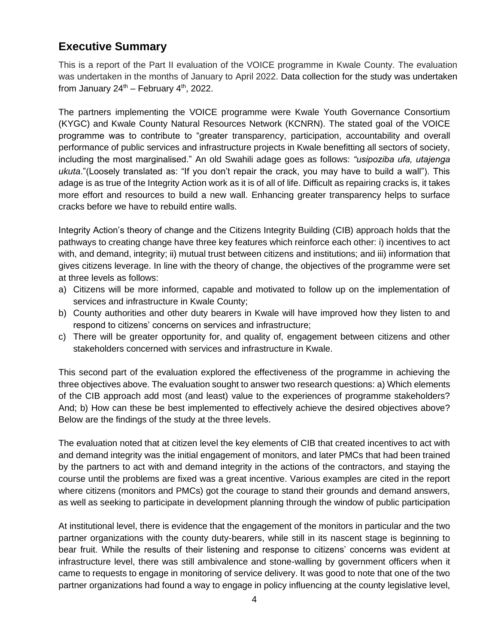# <span id="page-3-0"></span>**Executive Summary**

This is a report of the Part II evaluation of the VOICE programme in Kwale County. The evaluation was undertaken in the months of January to April 2022. Data collection for the study was undertaken from January  $24^{th}$  – February  $4^{th}$ , 2022.

The partners implementing the VOICE programme were Kwale Youth Governance Consortium (KYGC) and Kwale County Natural Resources Network (KCNRN). The stated goal of the VOICE programme was to contribute to "greater transparency, participation, accountability and overall performance of public services and infrastructure projects in Kwale benefitting all sectors of society, including the most marginalised." An old Swahili adage goes as follows: *"usipoziba ufa, utajenga ukuta*."(Loosely translated as: "If you don't repair the crack, you may have to build a wall"). This adage is as true of the Integrity Action work as it is of all of life. Difficult as repairing cracks is, it takes more effort and resources to build a new wall. Enhancing greater transparency helps to surface cracks before we have to rebuild entire walls.

Integrity Action's theory of change and the Citizens Integrity Building (CIB) approach holds that the pathways to creating change have three key features which reinforce each other: i) incentives to act with, and demand, integrity; ii) mutual trust between citizens and institutions; and iii) information that gives citizens leverage. In line with the theory of change, the objectives of the programme were set at three levels as follows:

- a) Citizens will be more informed, capable and motivated to follow up on the implementation of services and infrastructure in Kwale County;
- b) County authorities and other duty bearers in Kwale will have improved how they listen to and respond to citizens' concerns on services and infrastructure;
- c) There will be greater opportunity for, and quality of, engagement between citizens and other stakeholders concerned with services and infrastructure in Kwale.

This second part of the evaluation explored the effectiveness of the programme in achieving the three objectives above. The evaluation sought to answer two research questions: a) Which elements of the CIB approach add most (and least) value to the experiences of programme stakeholders? And; b) How can these be best implemented to effectively achieve the desired objectives above? Below are the findings of the study at the three levels.

The evaluation noted that at citizen level the key elements of CIB that created incentives to act with and demand integrity was the initial engagement of monitors, and later PMCs that had been trained by the partners to act with and demand integrity in the actions of the contractors, and staying the course until the problems are fixed was a great incentive. Various examples are cited in the report where citizens (monitors and PMCs) got the courage to stand their grounds and demand answers, as well as seeking to participate in development planning through the window of public participation

At institutional level, there is evidence that the engagement of the monitors in particular and the two partner organizations with the county duty-bearers, while still in its nascent stage is beginning to bear fruit. While the results of their listening and response to citizens' concerns was evident at infrastructure level, there was still ambivalence and stone-walling by government officers when it came to requests to engage in monitoring of service delivery. It was good to note that one of the two partner organizations had found a way to engage in policy influencing at the county legislative level,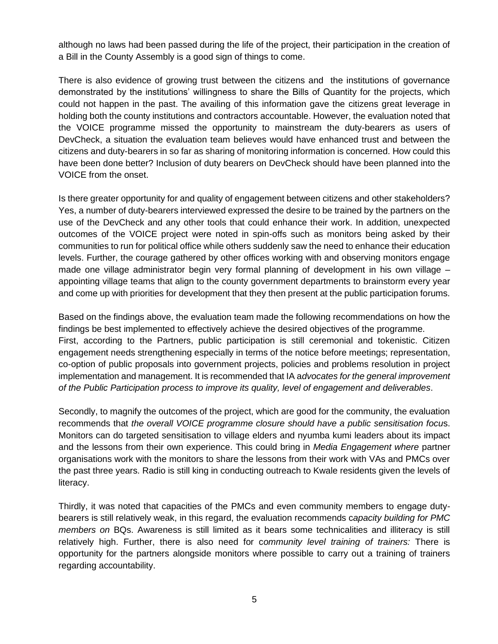although no laws had been passed during the life of the project, their participation in the creation of a Bill in the County Assembly is a good sign of things to come.

There is also evidence of growing trust between the citizens and the institutions of governance demonstrated by the institutions' willingness to share the Bills of Quantity for the projects, which could not happen in the past. The availing of this information gave the citizens great leverage in holding both the county institutions and contractors accountable. However, the evaluation noted that the VOICE programme missed the opportunity to mainstream the duty-bearers as users of DevCheck, a situation the evaluation team believes would have enhanced trust and between the citizens and duty-bearers in so far as sharing of monitoring information is concerned. How could this have been done better? Inclusion of duty bearers on DevCheck should have been planned into the VOICE from the onset.

Is there greater opportunity for and quality of engagement between citizens and other stakeholders? Yes, a number of duty-bearers interviewed expressed the desire to be trained by the partners on the use of the DevCheck and any other tools that could enhance their work. In addition, unexpected outcomes of the VOICE project were noted in spin-offs such as monitors being asked by their communities to run for political office while others suddenly saw the need to enhance their education levels. Further, the courage gathered by other offices working with and observing monitors engage made one village administrator begin very formal planning of development in his own village – appointing village teams that align to the county government departments to brainstorm every year and come up with priorities for development that they then present at the public participation forums.

Based on the findings above, the evaluation team made the following recommendations on how the findings be best implemented to effectively achieve the desired objectives of the programme. First, according to the Partners, public participation is still ceremonial and tokenistic. Citizen engagement needs strengthening especially in terms of the notice before meetings; representation, co-option of public proposals into government projects, policies and problems resolution in project implementation and management. It is recommended that IA a*dvocates for the general improvement of the Public Participation process to improve its quality, level of engagement and deliverables*.

Secondly, to magnify the outcomes of the project, which are good for the community, the evaluation recommends that *the overall VOICE programme closure should have a public sensitisation focu*s. Monitors can do targeted sensitisation to village elders and nyumba kumi leaders about its impact and the lessons from their own experience. This could bring in *Media Engagement where* partner organisations work with the monitors to share the lessons from their work with VAs and PMCs over the past three years. Radio is still king in conducting outreach to Kwale residents given the levels of literacy.

Thirdly, it was noted that capacities of the PMCs and even community members to engage dutybearers is still relatively weak, in this regard, the evaluation recommends c*apacity building for PMC members on* BQs. Awareness is still limited as it bears some technicalities and illiteracy is still relatively high. Further, there is also need for c*ommunity level training of trainers:* There is opportunity for the partners alongside monitors where possible to carry out a training of trainers regarding accountability.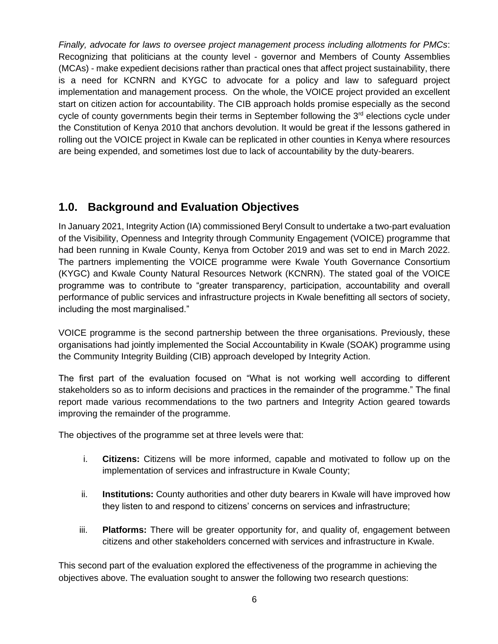*Finally, advocate for laws to oversee project management process including allotments for PMCs*: Recognizing that politicians at the county level - governor and Members of County Assemblies (MCAs) - make expedient decisions rather than practical ones that affect project sustainability, there is a need for KCNRN and KYGC to advocate for a policy and law to safeguard project implementation and management process. On the whole, the VOICE project provided an excellent start on citizen action for accountability. The CIB approach holds promise especially as the second cycle of county governments begin their terms in September following the 3<sup>rd</sup> elections cycle under the Constitution of Kenya 2010 that anchors devolution. It would be great if the lessons gathered in rolling out the VOICE project in Kwale can be replicated in other counties in Kenya where resources are being expended, and sometimes lost due to lack of accountability by the duty-bearers.

# <span id="page-5-0"></span>**1.0. Background and Evaluation Objectives**

In January 2021, Integrity Action (IA) commissioned Beryl Consult to undertake a two-part evaluation of the Visibility, Openness and Integrity through Community Engagement (VOICE) programme that had been running in Kwale County, Kenya from October 2019 and was set to end in March 2022. The partners implementing the VOICE programme were Kwale Youth Governance Consortium (KYGC) and Kwale County Natural Resources Network (KCNRN). The stated goal of the VOICE programme was to contribute to "greater transparency, participation, accountability and overall performance of public services and infrastructure projects in Kwale benefitting all sectors of society, including the most marginalised."

VOICE programme is the second partnership between the three organisations. Previously, these organisations had jointly implemented the Social Accountability in Kwale (SOAK) programme using the Community Integrity Building (CIB) approach developed by Integrity Action.

The first part of the evaluation focused on "What is not working well according to different stakeholders so as to inform decisions and practices in the remainder of the programme." The final report made various recommendations to the two partners and Integrity Action geared towards improving the remainder of the programme.

The objectives of the programme set at three levels were that:

- i. **Citizens:** Citizens will be more informed, capable and motivated to follow up on the implementation of services and infrastructure in Kwale County;
- ii. **Institutions:** County authorities and other duty bearers in Kwale will have improved how they listen to and respond to citizens' concerns on services and infrastructure;
- iii. **Platforms:** There will be greater opportunity for, and quality of, engagement between citizens and other stakeholders concerned with services and infrastructure in Kwale.

This second part of the evaluation explored the effectiveness of the programme in achieving the objectives above. The evaluation sought to answer the following two research questions: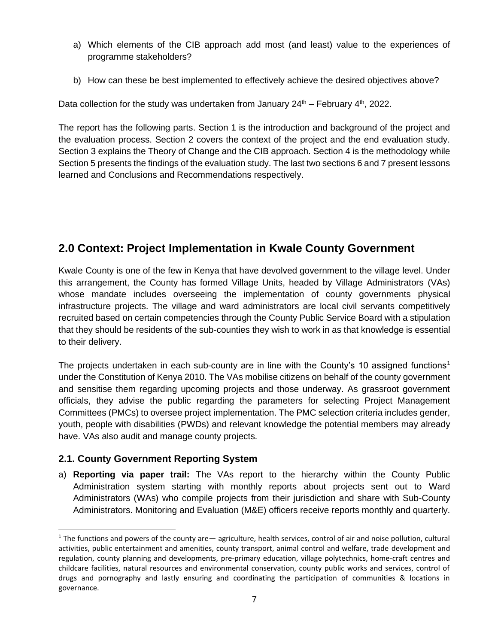- a) Which elements of the CIB approach add most (and least) value to the experiences of programme stakeholders?
- <span id="page-6-0"></span>b) How can these be best implemented to effectively achieve the desired objectives above?

Data collection for the study was undertaken from January  $24<sup>th</sup>$  – February  $4<sup>th</sup>$ , 2022.

The report has the following parts. Section 1 is the introduction and background of the project and the evaluation process. Section 2 covers the context of the project and the end evaluation study. Section 3 explains the Theory of Change and the CIB approach. Section 4 is the methodology while Section 5 presents the findings of the evaluation study. The last two sections 6 and 7 present lessons learned and Conclusions and Recommendations respectively.

# **2.0 Context: Project Implementation in Kwale County Government**

Kwale County is one of the few in Kenya that have devolved government to the village level. Under this arrangement, the County has formed Village Units, headed by Village Administrators (VAs) whose mandate includes overseeing the implementation of county governments physical infrastructure projects. The village and ward administrators are local civil servants competitively recruited based on certain competencies through the County Public Service Board with a stipulation that they should be residents of the sub-counties they wish to work in as that knowledge is essential to their delivery.

The projects undertaken in each sub-county are in line with the County's 10 assigned functions<sup>1</sup> under the Constitution of Kenya 2010. The VAs mobilise citizens on behalf of the county government and sensitise them regarding upcoming projects and those underway. As grassroot government officials, they advise the public regarding the parameters for selecting Project Management Committees (PMCs) to oversee project implementation. The PMC selection criteria includes gender, youth, people with disabilities (PWDs) and relevant knowledge the potential members may already have. VAs also audit and manage county projects.

# <span id="page-6-1"></span>**2.1. County Government Reporting System**

a) **Reporting via paper trail:** The VAs report to the hierarchy within the County Public Administration system starting with monthly reports about projects sent out to Ward Administrators (WAs) who compile projects from their jurisdiction and share with Sub-County Administrators. Monitoring and Evaluation (M&E) officers receive reports monthly and quarterly.

 $1$  The functions and powers of the county are— agriculture, health services, control of air and noise pollution, cultural activities, public entertainment and amenities, county transport, animal control and welfare, trade development and regulation, county planning and developments, pre-primary education, village polytechnics, home-craft centres and childcare facilities, natural resources and environmental conservation, county public works and services, control of drugs and pornography and lastly ensuring and coordinating the participation of communities & locations in governance.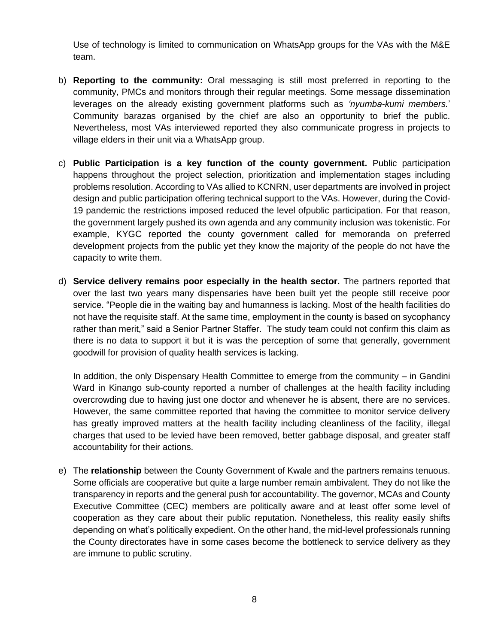Use of technology is limited to communication on WhatsApp groups for the VAs with the M&E team.

- b) **Reporting to the community:** Oral messaging is still most preferred in reporting to the community, PMCs and monitors through their regular meetings. Some message dissemination leverages on the already existing government platforms such as *'nyumba-kumi members.*' Community barazas organised by the chief are also an opportunity to brief the public. Nevertheless, most VAs interviewed reported they also communicate progress in projects to village elders in their unit via a WhatsApp group.
- c) **Public Participation is a key function of the county government.** Public participation happens throughout the project selection, prioritization and implementation stages including problems resolution. According to VAs allied to KCNRN, user departments are involved in project design and public participation offering technical support to the VAs. However, during the Covid-19 pandemic the restrictions imposed reduced the level ofpublic participation. For that reason, the government largely pushed its own agenda and any community inclusion was tokenistic. For example, KYGC reported the county government called for memoranda on preferred development projects from the public yet they know the majority of the people do not have the capacity to write them.
- d) **Service delivery remains poor especially in the health sector.** The partners reported that over the last two years many dispensaries have been built yet the people still receive poor service. "People die in the waiting bay and humanness is lacking. Most of the health facilities do not have the requisite staff. At the same time, employment in the county is based on sycophancy rather than merit," said a Senior Partner Staffer. The study team could not confirm this claim as there is no data to support it but it is was the perception of some that generally, government goodwill for provision of quality health services is lacking.

In addition, the only Dispensary Health Committee to emerge from the community – in Gandini Ward in Kinango sub-county reported a number of challenges at the health facility including overcrowding due to having just one doctor and whenever he is absent, there are no services. However, the same committee reported that having the committee to monitor service delivery has greatly improved matters at the health facility including cleanliness of the facility, illegal charges that used to be levied have been removed, better gabbage disposal, and greater staff accountability for their actions.

e) The **relationship** between the County Government of Kwale and the partners remains tenuous. Some officials are cooperative but quite a large number remain ambivalent. They do not like the transparency in reports and the general push for accountability. The governor, MCAs and County Executive Committee (CEC) members are politically aware and at least offer some level of cooperation as they care about their public reputation. Nonetheless, this reality easily shifts depending on what's politically expedient. On the other hand, the mid-level professionals running the County directorates have in some cases become the bottleneck to service delivery as they are immune to public scrutiny.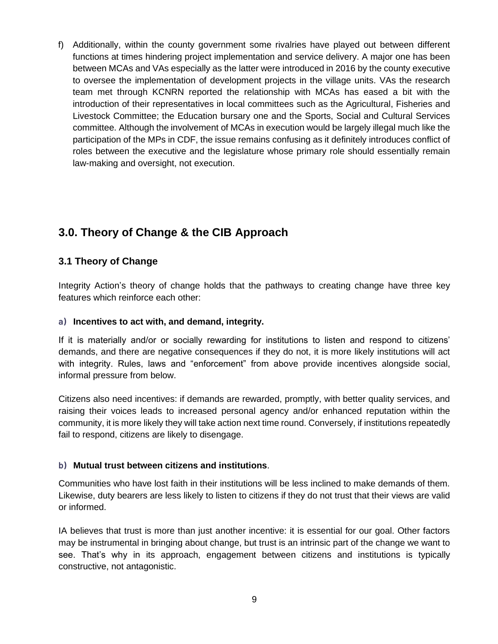f) Additionally, within the county government some rivalries have played out between different functions at times hindering project implementation and service delivery. A major one has been between MCAs and VAs especially as the latter were introduced in 2016 by the county executive to oversee the implementation of development projects in the village units. VAs the research team met through KCNRN reported the relationship with MCAs has eased a bit with the introduction of their representatives in local committees such as the Agricultural, Fisheries and Livestock Committee; the Education bursary one and the Sports, Social and Cultural Services committee. Although the involvement of MCAs in execution would be largely illegal much like the participation of the MPs in CDF, the issue remains confusing as it definitely introduces conflict of roles between the executive and the legislature whose primary role should essentially remain law-making and oversight, not execution.

# <span id="page-8-0"></span>**3.0. Theory of Change & the CIB Approach**

# <span id="page-8-1"></span>**3.1 Theory of Change**

Integrity Action's theory of change holds that the pathways to creating change have three key features which reinforce each other:

### **a) Incentives to act with, and demand, integrity.**

If it is materially and/or or socially rewarding for institutions to listen and respond to citizens' demands, and there are negative consequences if they do not, it is more likely institutions will act with integrity. Rules, laws and "enforcement" from above provide incentives alongside social, informal pressure from below.

Citizens also need incentives: if demands are rewarded, promptly, with better quality services, and raising their voices leads to increased personal agency and/or enhanced reputation within the community, it is more likely they will take action next time round. Conversely, if institutions repeatedly fail to respond, citizens are likely to disengage.

### **b) Mutual trust between citizens and institutions**.

Communities who have lost faith in their institutions will be less inclined to make demands of them. Likewise, duty bearers are less likely to listen to citizens if they do not trust that their views are valid or informed.

IA believes that trust is more than just another incentive: it is essential for our goal. Other factors may be instrumental in bringing about change, but trust is an intrinsic part of the change we want to see. That's why in its approach, engagement between citizens and institutions is typically constructive, not antagonistic.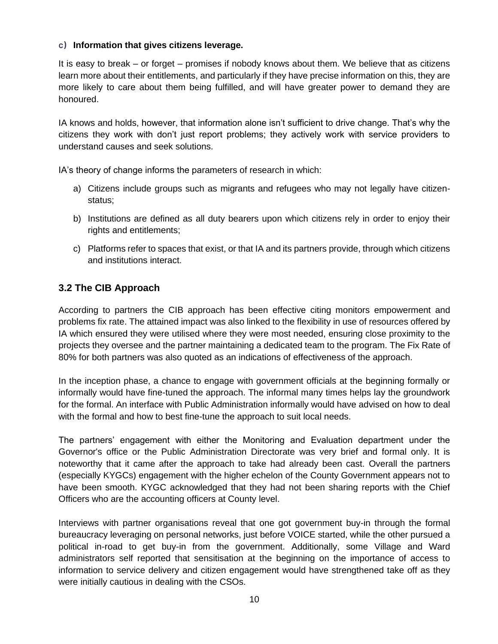### **c) Information that gives citizens leverage.**

It is easy to break – or forget – promises if nobody knows about them. We believe that as citizens learn more about their entitlements, and particularly if they have precise information on this, they are more likely to care about them being fulfilled, and will have greater power to demand they are honoured.

IA knows and holds, however, that information alone isn't sufficient to drive change. That's why the citizens they work with don't just report problems; they actively work with service providers to understand causes and seek solutions.

IA's theory of change informs the parameters of research in which:

- a) Citizens include groups such as migrants and refugees who may not legally have citizenstatus;
- b) Institutions are defined as all duty bearers upon which citizens rely in order to enjoy their rights and entitlements;
- c) Platforms refer to spaces that exist, or that IA and its partners provide, through which citizens and institutions interact.

# <span id="page-9-0"></span>**3.2 The CIB Approach**

According to partners the CIB approach has been effective citing monitors empowerment and problems fix rate. The attained impact was also linked to the flexibility in use of resources offered by IA which ensured they were utilised where they were most needed, ensuring close proximity to the projects they oversee and the partner maintaining a dedicated team to the program. The Fix Rate of 80% for both partners was also quoted as an indications of effectiveness of the approach.

In the inception phase, a chance to engage with government officials at the beginning formally or informally would have fine-tuned the approach. The informal many times helps lay the groundwork for the formal. An interface with Public Administration informally would have advised on how to deal with the formal and how to best fine-tune the approach to suit local needs.

The partners' engagement with either the Monitoring and Evaluation department under the Governor's office or the Public Administration Directorate was very brief and formal only. It is noteworthy that it came after the approach to take had already been cast. Overall the partners (especially KYGCs) engagement with the higher echelon of the County Government appears not to have been smooth. KYGC acknowledged that they had not been sharing reports with the Chief Officers who are the accounting officers at County level.

Interviews with partner organisations reveal that one got government buy-in through the formal bureaucracy leveraging on personal networks, just before VOICE started, while the other pursued a political in-road to get buy-in from the government. Additionally, some Village and Ward administrators self reported that sensitisation at the beginning on the importance of access to information to service delivery and citizen engagement would have strengthened take off as they were initially cautious in dealing with the CSOs.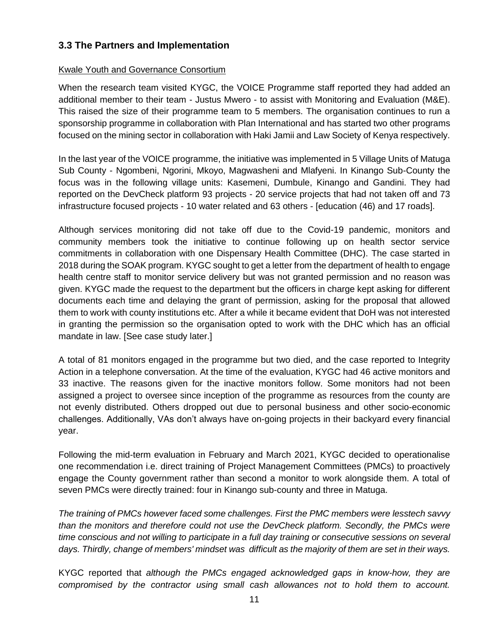# <span id="page-10-0"></span>**3.3 The Partners and Implementation**

### Kwale Youth and Governance Consortium

When the research team visited KYGC, the VOICE Programme staff reported they had added an additional member to their team - Justus Mwero - to assist with Monitoring and Evaluation (M&E). This raised the size of their programme team to 5 members. The organisation continues to run a sponsorship programme in collaboration with Plan International and has started two other programs focused on the mining sector in collaboration with Haki Jamii and Law Society of Kenya respectively.

In the last year of the VOICE programme, the initiative was implemented in 5 Village Units of Matuga Sub County - Ngombeni, Ngorini, Mkoyo, Magwasheni and Mlafyeni. In Kinango Sub-County the focus was in the following village units: Kasemeni, Dumbule, Kinango and Gandini. They had reported on the DevCheck platform 93 projects - 20 service projects that had not taken off and 73 infrastructure focused projects - 10 water related and 63 others - [education (46) and 17 roads].

Although services monitoring did not take off due to the Covid-19 pandemic, monitors and community members took the initiative to continue following up on health sector service commitments in collaboration with one Dispensary Health Committee (DHC). The case started in 2018 during the SOAK program. KYGC sought to get a letter from the department of health to engage health centre staff to monitor service delivery but was not granted permission and no reason was given. KYGC made the request to the department but the officers in charge kept asking for different documents each time and delaying the grant of permission, asking for the proposal that allowed them to work with county institutions etc. After a while it became evident that DoH was not interested in granting the permission so the organisation opted to work with the DHC which has an official mandate in law. [See case study later.]

A total of 81 monitors engaged in the programme but two died, and the case reported to Integrity Action in a telephone conversation. At the time of the evaluation, KYGC had 46 active monitors and 33 inactive. The reasons given for the inactive monitors follow. Some monitors had not been assigned a project to oversee since inception of the programme as resources from the county are not evenly distributed. Others dropped out due to personal business and other socio-economic challenges. Additionally, VAs don't always have on-going projects in their backyard every financial year.

Following the mid-term evaluation in February and March 2021, KYGC decided to operationalise one recommendation i.e. direct training of Project Management Committees (PMCs) to proactively engage the County government rather than second a monitor to work alongside them. A total of seven PMCs were directly trained: four in Kinango sub-county and three in Matuga.

*The training of PMCs however faced some challenges. First the PMC members were lesstech savvy than the monitors and therefore could not use the DevCheck platform. Secondly, the PMCs were time conscious and not willing to participate in a full day training or consecutive sessions on several days. Thirdly, change of members' mindset was difficult as the majority of them are set in their ways.*

KYGC reported that *although the PMCs engaged acknowledged gaps in know-how, they are compromised by the contractor using small cash allowances not to hold them to account.*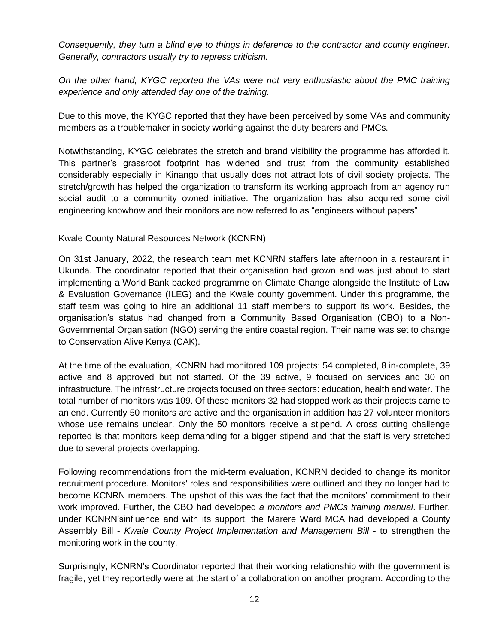*Consequently, they turn a blind eye to things in deference to the contractor and county engineer. Generally, contractors usually try to repress criticism.* 

*On the other hand, KYGC reported the VAs were not very enthusiastic about the PMC training experience and only attended day one of the training.*

Due to this move, the KYGC reported that they have been perceived by some VAs and community members as a troublemaker in society working against the duty bearers and PMCs.

Notwithstanding, KYGC celebrates the stretch and brand visibility the programme has afforded it. This partner's grassroot footprint has widened and trust from the community established considerably especially in Kinango that usually does not attract lots of civil society projects. The stretch/growth has helped the organization to transform its working approach from an agency run social audit to a community owned initiative. The organization has also acquired some civil engineering knowhow and their monitors are now referred to as "engineers without papers"

### Kwale County Natural Resources Network (KCNRN)

On 31st January, 2022, the research team met KCNRN staffers late afternoon in a restaurant in Ukunda. The coordinator reported that their organisation had grown and was just about to start implementing a World Bank backed programme on Climate Change alongside the Institute of Law & Evaluation Governance (ILEG) and the Kwale county government. Under this programme, the staff team was going to hire an additional 11 staff members to support its work. Besides, the organisation's status had changed from a Community Based Organisation (CBO) to a Non-Governmental Organisation (NGO) serving the entire coastal region. Their name was set to change to Conservation Alive Kenya (CAK).

At the time of the evaluation, KCNRN had monitored 109 projects: 54 completed, 8 in-complete, 39 active and 8 approved but not started. Of the 39 active, 9 focused on services and 30 on infrastructure. The infrastructure projects focused on three sectors: education, health and water. The total number of monitors was 109. Of these monitors 32 had stopped work as their projects came to an end. Currently 50 monitors are active and the organisation in addition has 27 volunteer monitors whose use remains unclear. Only the 50 monitors receive a stipend. A cross cutting challenge reported is that monitors keep demanding for a bigger stipend and that the staff is very stretched due to several projects overlapping.

Following recommendations from the mid-term evaluation, KCNRN decided to change its monitor recruitment procedure. Monitors' roles and responsibilities were outlined and they no longer had to become KCNRN members. The upshot of this was the fact that the monitors' commitment to their work improved. Further, the CBO had developed *a monitors and PMCs training manual*. Further, under KCNRN'sinfluence and with its support, the Marere Ward MCA had developed a County Assembly Bill - *Kwale County Project Implementation and Management Bill* - to strengthen the monitoring work in the county.

Surprisingly, KCNRN's Coordinator reported that their working relationship with the government is fragile, yet they reportedly were at the start of a collaboration on another program. According to the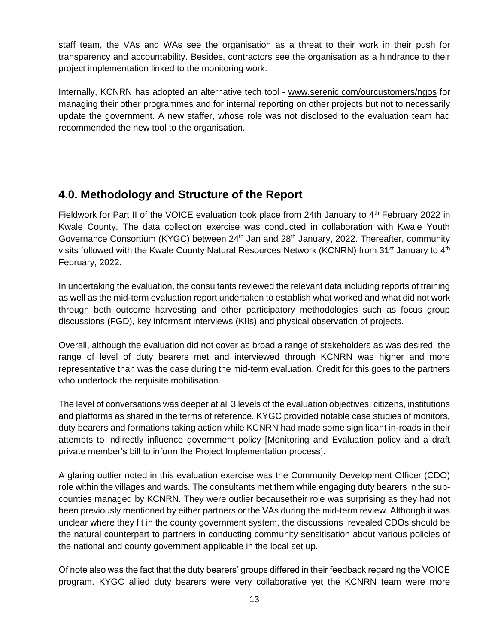staff team, the VAs and WAs see the organisation as a threat to their work in their push for transparency and accountability. Besides, contractors see the organisation as a hindrance to their project implementation linked to the monitoring work.

<span id="page-12-0"></span>Internally, KCNRN has adopted an alternative tech tool [-](http://www.serenic.com/ourcustomers/ngos) [www.serenic.com/ourcustomers/ngos](http://www.serenic.com/ourcustomers/ngos) for managing their other programmes and for internal reporting on other projects but not to necessarily update the government. A new staffer, whose role was not disclosed to the evaluation team had recommended the new tool to the organisation.

# **4.0. Methodology and Structure of the Report**

Fieldwork for Part II of the VOICE evaluation took place from 24th January to 4<sup>th</sup> February 2022 in Kwale County. The data collection exercise was conducted in collaboration with Kwale Youth Governance Consortium (KYGC) between  $24<sup>th</sup>$  Jan and  $28<sup>th</sup>$  January, 2022. Thereafter, community visits followed with the Kwale County Natural Resources Network (KCNRN) from 31<sup>st</sup> January to 4<sup>th</sup> February, 2022.

In undertaking the evaluation, the consultants reviewed the relevant data including reports of training as well as the mid-term evaluation report undertaken to establish what worked and what did not work through both outcome harvesting and other participatory methodologies such as focus group discussions (FGD), key informant interviews (KIIs) and physical observation of projects.

Overall, although the evaluation did not cover as broad a range of stakeholders as was desired, the range of level of duty bearers met and interviewed through KCNRN was higher and more representative than was the case during the mid-term evaluation. Credit for this goes to the partners who undertook the requisite mobilisation.

The level of conversations was deeper at all 3 levels of the evaluation objectives: citizens, institutions and platforms as shared in the terms of reference. KYGC provided notable case studies of monitors, duty bearers and formations taking action while KCNRN had made some significant in-roads in their attempts to indirectly influence government policy [Monitoring and Evaluation policy and a draft private member's bill to inform the Project Implementation process].

A glaring outlier noted in this evaluation exercise was the Community Development Officer (CDO) role within the villages and wards. The consultants met them while engaging duty bearers in the subcounties managed by KCNRN. They were outlier becausetheir role was surprising as they had not been previously mentioned by either partners or the VAs during the mid-term review. Although it was unclear where they fit in the county government system, the discussions revealed CDOs should be the natural counterpart to partners in conducting community sensitisation about various policies of the national and county government applicable in the local set up.

Of note also was the fact that the duty bearers' groups differed in their feedback regarding the VOICE program. KYGC allied duty bearers were very collaborative yet the KCNRN team were more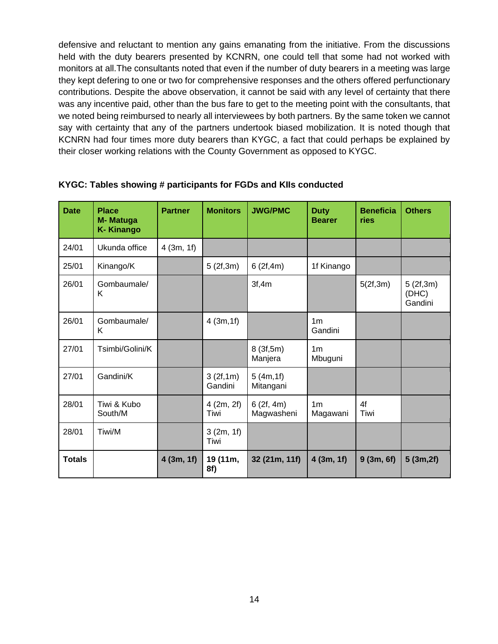defensive and reluctant to mention any gains emanating from the initiative. From the discussions held with the duty bearers presented by KCNRN, one could tell that some had not worked with monitors at all.The consultants noted that even if the number of duty bearers in a meeting was large they kept defering to one or two for comprehensive responses and the others offered perfunctionary contributions. Despite the above observation, it cannot be said with any level of certainty that there was any incentive paid, other than the bus fare to get to the meeting point with the consultants, that we noted being reimbursed to nearly all interviewees by both partners. By the same token we cannot say with certainty that any of the partners undertook biased mobilization. It is noted though that KCNRN had four times more duty bearers than KYGC, a fact that could perhaps be explained by their closer working relations with the County Government as opposed to KYGC.

| <b>Date</b>   | <b>Place</b><br>M- Matuga<br><b>K-Kinango</b> | <b>Partner</b> | <b>Monitors</b>     | <b>JWG/PMC</b>          | <b>Duty</b><br><b>Bearer</b> | <b>Beneficia</b><br>ries | <b>Others</b>                |
|---------------|-----------------------------------------------|----------------|---------------------|-------------------------|------------------------------|--------------------------|------------------------------|
| 24/01         | Ukunda office                                 | 4(3m, 1f)      |                     |                         |                              |                          |                              |
| 25/01         | Kinango/K                                     |                | 5(2f,3m)            | 6(2f,4m)                | 1f Kinango                   |                          |                              |
| 26/01         | Gombaumale/<br>Κ                              |                |                     | 3f,4m                   |                              | 5(2f, 3m)                | 5(2f,3m)<br>(DHC)<br>Gandini |
| 26/01         | Gombaumale/<br>Κ                              |                | 4(3m,1f)            |                         | 1 <sub>m</sub><br>Gandini    |                          |                              |
| 27/01         | Tsimbi/Golini/K                               |                |                     | 8(3f,5m)<br>Manjera     | 1 <sub>m</sub><br>Mbuguni    |                          |                              |
| 27/01         | Gandini/K                                     |                | 3(2f,1m)<br>Gandini | 5(4m,1f)<br>Mitangani   |                              |                          |                              |
| 28/01         | Tiwi & Kubo<br>South/M                        |                | 4(2m, 2f)<br>Tiwi   | 6(2f, 4m)<br>Magwasheni | 1 <sub>m</sub><br>Magawani   | 4f<br>Tiwi               |                              |
| 28/01         | Tiwi/M                                        |                | 3(2m, 1f)<br>Tiwi   |                         |                              |                          |                              |
| <b>Totals</b> |                                               | 4(3m, 1f)      | 19 (11m,<br>8f)     | 32 (21m, 11f)           | 4(3m, 1f)                    | 9(3m, 6f)                | 5(3m,2f)                     |

**KYGC: Tables showing # participants for FGDs and KIIs conducted**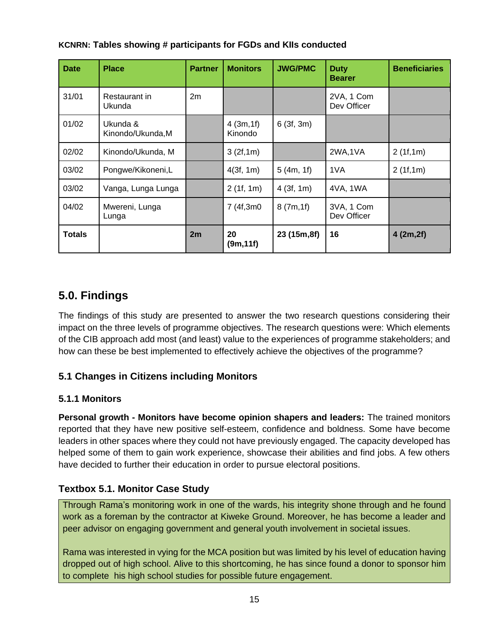| <b>Date</b> | <b>Place</b>                  | <b>Partner</b> | <b>Monitors</b>     | <b>JWG/PMC</b> | <b>Duty</b><br><b>Bearer</b> | <b>Beneficiaries</b> |
|-------------|-------------------------------|----------------|---------------------|----------------|------------------------------|----------------------|
| 31/01       | Restaurant in<br>Ukunda       | 2m             |                     |                | 2VA, 1 Com<br>Dev Officer    |                      |
| 01/02       | Ukunda &<br>Kinondo/Ukunda, M |                | 4(3m,1f)<br>Kinondo | 6(3f, 3m)      |                              |                      |
| 02/02       | Kinondo/Ukunda, M             |                | 3(2f, 1m)           |                | 2WA, 1VA                     | 2(1f,1m)             |
| 03/02       | Pongwe/Kikoneni,L             |                | 4(3f, 1m)           | 5(4m, 1f)      | 1VA                          | 2(1f,1m)             |
| 03/02       | Vanga, Lunga Lunga            |                | 2(1f, 1m)           | 4(3f, 1m)      | 4VA, 1WA                     |                      |
| 04/02       | Mwereni, Lunga<br>Lunga       |                | 7 (4f,3m0)          | 8(7m,1f)       | 3VA, 1 Com<br>Dev Officer    |                      |
| Totals      |                               | 2m             | 20<br>(9m, 11f)     | 23 (15m,8f)    | 16                           | 4(2m,2f)             |

# **KCNRN: Tables showing # participants for FGDs and KIIs conducted**

# <span id="page-14-0"></span>**5.0. Findings**

The findings of this study are presented to answer the two research questions considering their impact on the three levels of programme objectives. The research questions were: Which elements of the CIB approach add most (and least) value to the experiences of programme stakeholders; and how can these be best implemented to effectively achieve the objectives of the programme?

# <span id="page-14-1"></span>**5.1 Changes in Citizens including Monitors**

# <span id="page-14-2"></span>**5.1.1 Monitors**

**Personal growth - Monitors have become opinion shapers and leaders:** The trained monitors reported that they have new positive self-esteem, confidence and boldness. Some have become leaders in other spaces where they could not have previously engaged. The capacity developed has helped some of them to gain work experience, showcase their abilities and find jobs. A few others have decided to further their education in order to pursue electoral positions.

# <span id="page-14-3"></span>**Textbox 5.1. Monitor Case Study**

Through Rama's monitoring work in one of the wards, his integrity shone through and he found work as a foreman by the contractor at Kiweke Ground. Moreover, he has become a leader and peer advisor on engaging government and general youth involvement in societal issues.

Rama was interested in vying for the MCA position but was limited by his level of education having dropped out of high school. Alive to this shortcoming, he has since found a donor to sponsor him to complete his high school studies for possible future engagement.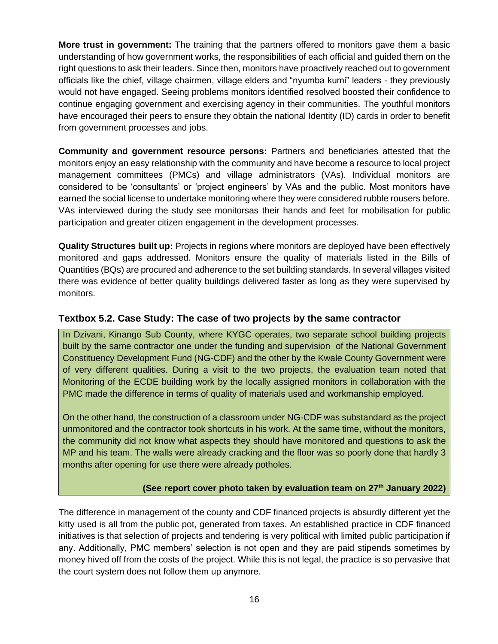**More trust in government:** The training that the partners offered to monitors gave them a basic understanding of how government works, the responsibilities of each official and guided them on the right questions to ask their leaders. Since then, monitors have proactively reached out to government officials like the chief, village chairmen, village elders and "nyumba kumi" leaders - they previously would not have engaged. Seeing problems monitors identified resolved boosted their confidence to continue engaging government and exercising agency in their communities. The youthful monitors have encouraged their peers to ensure they obtain the national Identity (ID) cards in order to benefit from government processes and jobs.

**Community and government resource persons:** Partners and beneficiaries attested that the monitors enjoy an easy relationship with the community and have become a resource to local project management committees (PMCs) and village administrators (VAs). Individual monitors are considered to be 'consultants' or 'project engineers' by VAs and the public. Most monitors have earned the social license to undertake monitoring where they were considered rubble rousers before. VAs interviewed during the study see monitorsas their hands and feet for mobilisation for public participation and greater citizen engagement in the development processes.

**Quality Structures built up:** Projects in regions where monitors are deployed have been effectively monitored and gaps addressed. Monitors ensure the quality of materials listed in the Bills of Quantities (BQs) are procured and adherence to the set building standards. In several villages visited there was evidence of better quality buildings delivered faster as long as they were supervised by monitors.

# <span id="page-15-0"></span>**Textbox 5.2. Case Study: The case of two projects by the same contractor**

In Dzivani, Kinango Sub County, where KYGC operates, two separate school building projects built by the same contractor one under the funding and supervision of the National Government Constituency Development Fund (NG-CDF) and the other by the Kwale County Government were of very different qualities. During a visit to the two projects, the evaluation team noted that Monitoring of the ECDE building work by the locally assigned monitors in collaboration with the PMC made the difference in terms of quality of materials used and workmanship employed.

On the other hand, the construction of a classroom under NG-CDF was substandard as the project unmonitored and the contractor took shortcuts in his work. At the same time, without the monitors, the community did not know what aspects they should have monitored and questions to ask the MP and his team. The walls were already cracking and the floor was so poorly done that hardly 3 months after opening for use there were already potholes.

# **(See report cover photo taken by evaluation team on 27th January 2022)**

The difference in management of the county and CDF financed projects is absurdly different yet the kitty used is all from the public pot, generated from taxes. An established practice in CDF financed initiatives is that selection of projects and tendering is very political with limited public participation if any. Additionally, PMC members' selection is not open and they are paid stipends sometimes by money hived off from the costs of the project. While this is not legal, the practice is so pervasive that the court system does not follow them up anymore.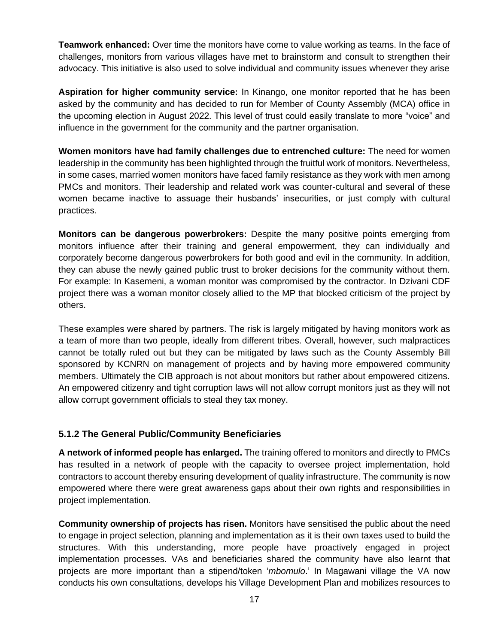**Teamwork enhanced:** Over time the monitors have come to value working as teams. In the face of challenges, monitors from various villages have met to brainstorm and consult to strengthen their advocacy. This initiative is also used to solve individual and community issues whenever they arise

**Aspiration for higher community service:** In Kinango, one monitor reported that he has been asked by the community and has decided to run for Member of County Assembly (MCA) office in the upcoming election in August 2022. This level of trust could easily translate to more "voice" and influence in the government for the community and the partner organisation.

**Women monitors have had family challenges due to entrenched culture:** The need for women leadership in the community has been highlighted through the fruitful work of monitors. Nevertheless, in some cases, married women monitors have faced family resistance as they work with men among PMCs and monitors. Their leadership and related work was counter-cultural and several of these women became inactive to assuage their husbands' insecurities, or just comply with cultural practices.

**Monitors can be dangerous powerbrokers:** Despite the many positive points emerging from monitors influence after their training and general empowerment, they can individually and corporately become dangerous powerbrokers for both good and evil in the community. In addition, they can abuse the newly gained public trust to broker decisions for the community without them. For example: In Kasemeni, a woman monitor was compromised by the contractor. In Dzivani CDF project there was a woman monitor closely allied to the MP that blocked criticism of the project by others.

These examples were shared by partners. The risk is largely mitigated by having monitors work as a team of more than two people, ideally from different tribes. Overall, however, such malpractices cannot be totally ruled out but they can be mitigated by laws such as the County Assembly Bill sponsored by KCNRN on management of projects and by having more empowered community members. Ultimately the CIB approach is not about monitors but rather about empowered citizens. An empowered citizenry and tight corruption laws will not allow corrupt monitors just as they will not allow corrupt government officials to steal they tax money.

# <span id="page-16-0"></span>**5.1.2 The General Public/Community Beneficiaries**

**A network of informed people has enlarged.** The training offered to monitors and directly to PMCs has resulted in a network of people with the capacity to oversee project implementation, hold contractors to account thereby ensuring development of quality infrastructure. The community is now empowered where there were great awareness gaps about their own rights and responsibilities in project implementation.

**Community ownership of projects has risen.** Monitors have sensitised the public about the need to engage in project selection, planning and implementation as it is their own taxes used to build the structures. With this understanding, more people have proactively engaged in project implementation processes. VAs and beneficiaries shared the community have also learnt that projects are more important than a stipend/token '*mbomulo*.' In Magawani village the VA now conducts his own consultations, develops his Village Development Plan and mobilizes resources to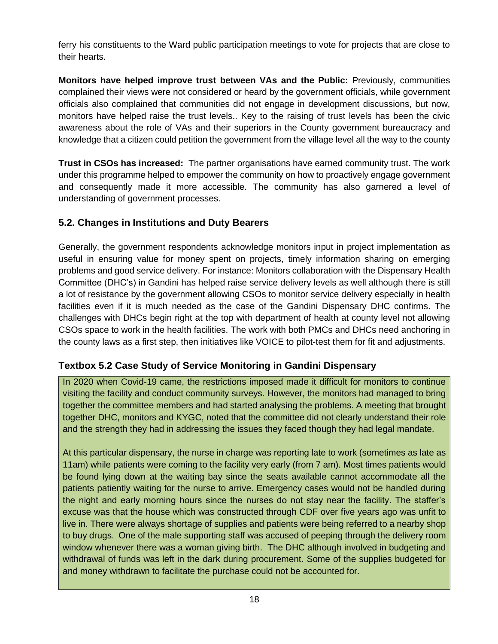ferry his constituents to the Ward public participation meetings to vote for projects that are close to their hearts.

**Monitors have helped improve trust between VAs and the Public:** Previously, communities complained their views were not considered or heard by the government officials, while government officials also complained that communities did not engage in development discussions, but now, monitors have helped raise the trust levels.. Key to the raising of trust levels has been the civic awareness about the role of VAs and their superiors in the County government bureaucracy and knowledge that a citizen could petition the government from the village level all the way to the county

**Trust in CSOs has increased:** The partner organisations have earned community trust. The work under this programme helped to empower the community on how to proactively engage government and consequently made it more accessible. The community has also garnered a level of understanding of government processes.

# <span id="page-17-0"></span>**5.2. Changes in Institutions and Duty Bearers**

Generally, the government respondents acknowledge monitors input in project implementation as useful in ensuring value for money spent on projects, timely information sharing on emerging problems and good service delivery. For instance: Monitors collaboration with the Dispensary Health Committee (DHC's) in Gandini has helped raise service delivery levels as well although there is still a lot of resistance by the government allowing CSOs to monitor service delivery especially in health facilities even if it is much needed as the case of the Gandini Dispensary DHC confirms. The challenges with DHCs begin right at the top with department of health at county level not allowing CSOs space to work in the health facilities. The work with both PMCs and DHCs need anchoring in the county laws as a first step, then initiatives like VOICE to pilot-test them for fit and adjustments.

# <span id="page-17-1"></span>**Textbox 5.2 Case Study of Service Monitoring in Gandini Dispensary**

In 2020 when Covid-19 came, the restrictions imposed made it difficult for monitors to continue visiting the facility and conduct community surveys. However, the monitors had managed to bring together the committee members and had started analysing the problems. A meeting that brought together DHC, monitors and KYGC, noted that the committee did not clearly understand their role and the strength they had in addressing the issues they faced though they had legal mandate.

At this particular dispensary, the nurse in charge was reporting late to work (sometimes as late as 11am) while patients were coming to the facility very early (from 7 am). Most times patients would be found lying down at the waiting bay since the seats available cannot accommodate all the patients patiently waiting for the nurse to arrive. Emergency cases would not be handled during the night and early morning hours since the nurses do not stay near the facility. The staffer's excuse was that the house which was constructed through CDF over five years ago was unfit to live in. There were always shortage of supplies and patients were being referred to a nearby shop to buy drugs. One of the male supporting staff was accused of peeping through the delivery room window whenever there was a woman giving birth. The DHC although involved in budgeting and withdrawal of funds was left in the dark during procurement. Some of the supplies budgeted for and money withdrawn to facilitate the purchase could not be accounted for.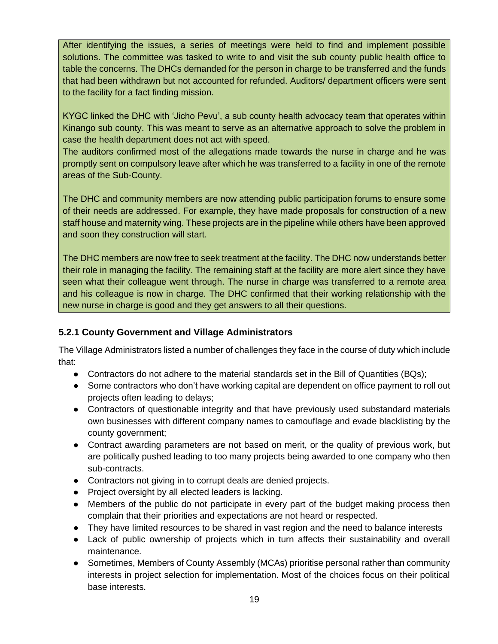After identifying the issues, a series of meetings were held to find and implement possible solutions. The committee was tasked to write to and visit the sub county public health office to table the concerns. The DHCs demanded for the person in charge to be transferred and the funds that had been withdrawn but not accounted for refunded. Auditors/ department officers were sent to the facility for a fact finding mission.

KYGC linked the DHC with 'Jicho Pevu', a sub county health advocacy team that operates within Kinango sub county. This was meant to serve as an alternative approach to solve the problem in case the health department does not act with speed.

The auditors confirmed most of the allegations made towards the nurse in charge and he was promptly sent on compulsory leave after which he was transferred to a facility in one of the remote areas of the Sub-County.

The DHC and community members are now attending public participation forums to ensure some of their needs are addressed. For example, they have made proposals for construction of a new staff house and maternity wing. These projects are in the pipeline while others have been approved and soon they construction will start.

The DHC members are now free to seek treatment at the facility. The DHC now understands better their role in managing the facility. The remaining staff at the facility are more alert since they have seen what their colleague went through. The nurse in charge was transferred to a remote area and his colleague is now in charge. The DHC confirmed that their working relationship with the new nurse in charge is good and they get answers to all their questions.

# <span id="page-18-0"></span>**5.2.1 County Government and Village Administrators**

The Village Administrators listed a number of challenges they face in the course of duty which include that:

- Contractors do not adhere to the material standards set in the Bill of Quantities (BQs);
- Some contractors who don't have working capital are dependent on office payment to roll out projects often leading to delays;
- Contractors of questionable integrity and that have previously used substandard materials own businesses with different company names to camouflage and evade blacklisting by the county government;
- Contract awarding parameters are not based on merit, or the quality of previous work, but are politically pushed leading to too many projects being awarded to one company who then sub-contracts.
- Contractors not giving in to corrupt deals are denied projects.
- Project oversight by all elected leaders is lacking.
- Members of the public do not participate in every part of the budget making process then complain that their priorities and expectations are not heard or respected.
- They have limited resources to be shared in vast region and the need to balance interests
- Lack of public ownership of projects which in turn affects their sustainability and overall maintenance.
- Sometimes, Members of County Assembly (MCAs) prioritise personal rather than community interests in project selection for implementation. Most of the choices focus on their political base interests.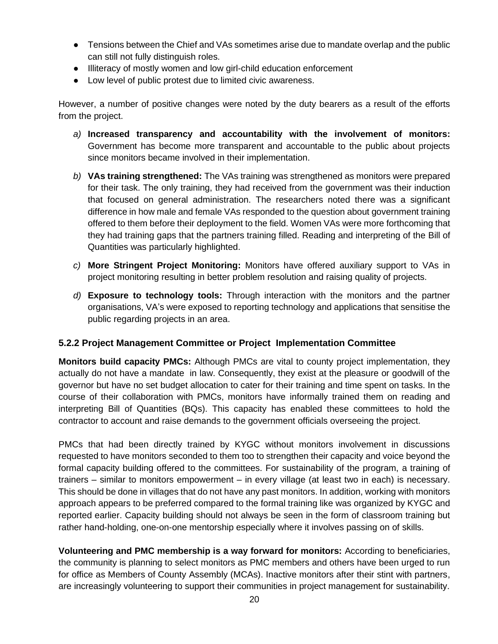- Tensions between the Chief and VAs sometimes arise due to mandate overlap and the public can still not fully distinguish roles.
- Illiteracy of mostly women and low girl-child education enforcement
- Low level of public protest due to limited civic awareness.

However, a number of positive changes were noted by the duty bearers as a result of the efforts from the project.

- *a)* **Increased transparency and accountability with the involvement of monitors:** Government has become more transparent and accountable to the public about projects since monitors became involved in their implementation.
- *b)* **VAs training strengthened:** The VAs training was strengthened as monitors were prepared for their task. The only training, they had received from the government was their induction that focused on general administration. The researchers noted there was a significant difference in how male and female VAs responded to the question about government training offered to them before their deployment to the field. Women VAs were more forthcoming that they had training gaps that the partners training filled. Reading and interpreting of the Bill of Quantities was particularly highlighted.
- *c)* **More Stringent Project Monitoring:** Monitors have offered auxiliary support to VAs in project monitoring resulting in better problem resolution and raising quality of projects.
- *d)* **Exposure to technology tools:** Through interaction with the monitors and the partner organisations, VA's were exposed to reporting technology and applications that sensitise the public regarding projects in an area.

### <span id="page-19-0"></span>**5.2.2 Project Management Committee or Project Implementation Committee**

**Monitors build capacity PMCs:** Although PMCs are vital to county project implementation, they actually do not have a mandate in law. Consequently, they exist at the pleasure or goodwill of the governor but have no set budget allocation to cater for their training and time spent on tasks. In the course of their collaboration with PMCs, monitors have informally trained them on reading and interpreting Bill of Quantities (BQs). This capacity has enabled these committees to hold the contractor to account and raise demands to the government officials overseeing the project.

PMCs that had been directly trained by KYGC without monitors involvement in discussions requested to have monitors seconded to them too to strengthen their capacity and voice beyond the formal capacity building offered to the committees. For sustainability of the program, a training of trainers – similar to monitors empowerment – in every village (at least two in each) is necessary. This should be done in villages that do not have any past monitors. In addition, working with monitors approach appears to be preferred compared to the formal training like was organized by KYGC and reported earlier. Capacity building should not always be seen in the form of classroom training but rather hand-holding, one-on-one mentorship especially where it involves passing on of skills.

**Volunteering and PMC membership is a way forward for monitors:** According to beneficiaries, the community is planning to select monitors as PMC members and others have been urged to run for office as Members of County Assembly (MCAs). Inactive monitors after their stint with partners, are increasingly volunteering to support their communities in project management for sustainability.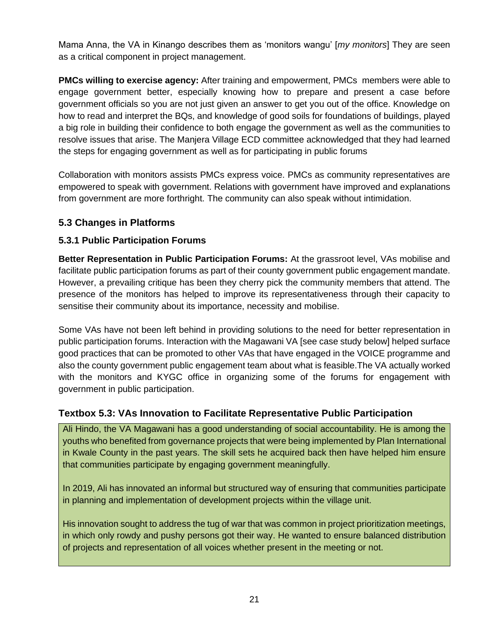Mama Anna, the VA in Kinango describes them as 'monitors wangu' [*my monitors*] They are seen as a critical component in project management.

**PMCs willing to exercise agency:** After training and empowerment, PMCs members were able to engage government better, especially knowing how to prepare and present a case before government officials so you are not just given an answer to get you out of the office. Knowledge on how to read and interpret the BQs, and knowledge of good soils for foundations of buildings, played a big role in building their confidence to both engage the government as well as the communities to resolve issues that arise. The Manjera Village ECD committee acknowledged that they had learned the steps for engaging government as well as for participating in public forums

Collaboration with monitors assists PMCs express voice. PMCs as community representatives are empowered to speak with government. Relations with government have improved and explanations from government are more forthright. The community can also speak without intimidation.

# <span id="page-20-0"></span>**5.3 Changes in Platforms**

# <span id="page-20-1"></span>**5.3.1 Public Participation Forums**

**Better Representation in Public Participation Forums:** At the grassroot level, VAs mobilise and facilitate public participation forums as part of their county government public engagement mandate. However, a prevailing critique has been they cherry pick the community members that attend. The presence of the monitors has helped to improve its representativeness through their capacity to sensitise their community about its importance, necessity and mobilise.

Some VAs have not been left behind in providing solutions to the need for better representation in public participation forums. Interaction with the Magawani VA [see case study below] helped surface good practices that can be promoted to other VAs that have engaged in the VOICE programme and also the county government public engagement team about what is feasible.The VA actually worked with the monitors and KYGC office in organizing some of the forums for engagement with government in public participation.

# <span id="page-20-2"></span>**Textbox 5.3: VAs Innovation to Facilitate Representative Public Participation**

Ali Hindo, the VA Magawani has a good understanding of social accountability. He is among the youths who benefited from governance projects that were being implemented by Plan International in Kwale County in the past years. The skill sets he acquired back then have helped him ensure that communities participate by engaging government meaningfully.

In 2019, Ali has innovated an informal but structured way of ensuring that communities participate in planning and implementation of development projects within the village unit.

His innovation sought to address the tug of war that was common in project prioritization meetings, in which only rowdy and pushy persons got their way. He wanted to ensure balanced distribution of projects and representation of all voices whether present in the meeting or not.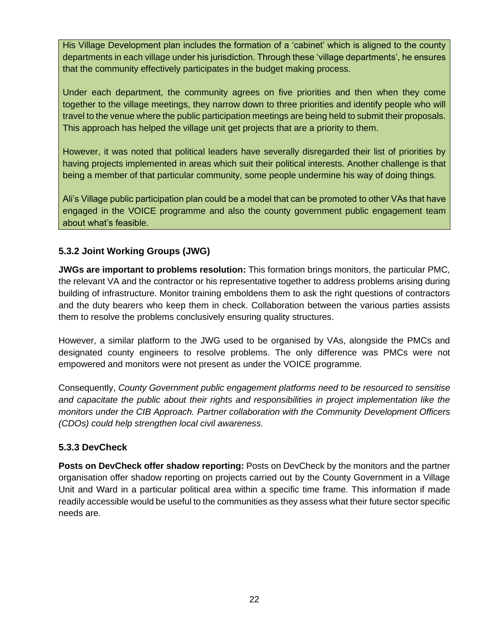His Village Development plan includes the formation of a 'cabinet' which is aligned to the county departments in each village under his jurisdiction. Through these 'village departments', he ensures that the community effectively participates in the budget making process.

Under each department, the community agrees on five priorities and then when they come together to the village meetings, they narrow down to three priorities and identify people who will travel to the venue where the public participation meetings are being held to submit their proposals. This approach has helped the village unit get projects that are a priority to them.

However, it was noted that political leaders have severally disregarded their list of priorities by having projects implemented in areas which suit their political interests. Another challenge is that being a member of that particular community, some people undermine his way of doing things.

Ali's Village public participation plan could be a model that can be promoted to other VAs that have engaged in the VOICE programme and also the county government public engagement team about what's feasible.

# <span id="page-21-0"></span>**5.3.2 Joint Working Groups (JWG)**

**JWGs are important to problems resolution:** This formation brings monitors, the particular PMC, the relevant VA and the contractor or his representative together to address problems arising during building of infrastructure. Monitor training emboldens them to ask the right questions of contractors and the duty bearers who keep them in check. Collaboration between the various parties assists them to resolve the problems conclusively ensuring quality structures.

However, a similar platform to the JWG used to be organised by VAs, alongside the PMCs and designated county engineers to resolve problems. The only difference was PMCs were not empowered and monitors were not present as under the VOICE programme.

Consequently, *County Government public engagement platforms need to be resourced to sensitise and capacitate the public about their rights and responsibilities in project implementation like the monitors under the CIB Approach. Partner collaboration with the Community Development Officers (CDOs) could help strengthen local civil awareness.*

# <span id="page-21-1"></span>**5.3.3 DevCheck**

<span id="page-21-2"></span>**Posts on DevCheck offer shadow reporting:** Posts on DevCheck by the monitors and the partner organisation offer shadow reporting on projects carried out by the County Government in a Village Unit and Ward in a particular political area within a specific time frame. This information if made readily accessible would be useful to the communities as they assess what their future sector specific needs are.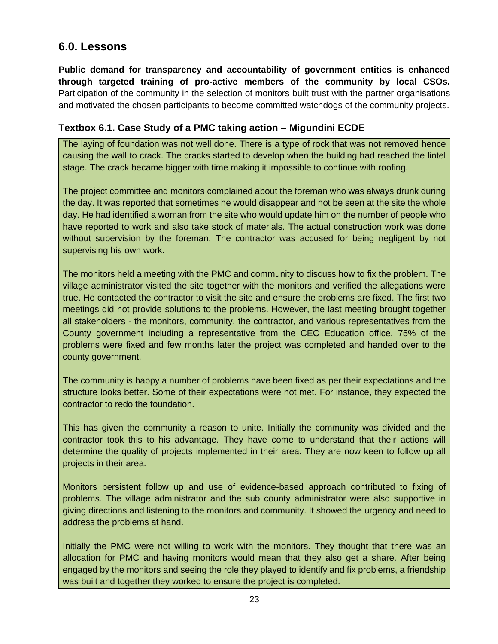# **6.0. Lessons**

**Public demand for transparency and accountability of government entities is enhanced through targeted training of pro-active members of the community by local CSOs.** Participation of the community in the selection of monitors built trust with the partner organisations and motivated the chosen participants to become committed watchdogs of the community projects.

# <span id="page-22-0"></span>**Textbox 6.1. Case Study of a PMC taking action – Migundini ECDE**

The laying of foundation was not well done. There is a type of rock that was not removed hence causing the wall to crack. The cracks started to develop when the building had reached the lintel stage. The crack became bigger with time making it impossible to continue with roofing.

The project committee and monitors complained about the foreman who was always drunk during the day. It was reported that sometimes he would disappear and not be seen at the site the whole day. He had identified a woman from the site who would update him on the number of people who have reported to work and also take stock of materials. The actual construction work was done without supervision by the foreman. The contractor was accused for being negligent by not supervising his own work.

The monitors held a meeting with the PMC and community to discuss how to fix the problem. The village administrator visited the site together with the monitors and verified the allegations were true. He contacted the contractor to visit the site and ensure the problems are fixed. The first two meetings did not provide solutions to the problems. However, the last meeting brought together all stakeholders - the monitors, community, the contractor, and various representatives from the County government including a representative from the CEC Education office. 75% of the problems were fixed and few months later the project was completed and handed over to the county government.

The community is happy a number of problems have been fixed as per their expectations and the structure looks better. Some of their expectations were not met. For instance, they expected the contractor to redo the foundation.

This has given the community a reason to unite. Initially the community was divided and the contractor took this to his advantage. They have come to understand that their actions will determine the quality of projects implemented in their area. They are now keen to follow up all projects in their area.

Monitors persistent follow up and use of evidence-based approach contributed to fixing of problems. The village administrator and the sub county administrator were also supportive in giving directions and listening to the monitors and community. It showed the urgency and need to address the problems at hand.

Initially the PMC were not willing to work with the monitors. They thought that there was an allocation for PMC and having monitors would mean that they also get a share. After being engaged by the monitors and seeing the role they played to identify and fix problems, a friendship was built and together they worked to ensure the project is completed.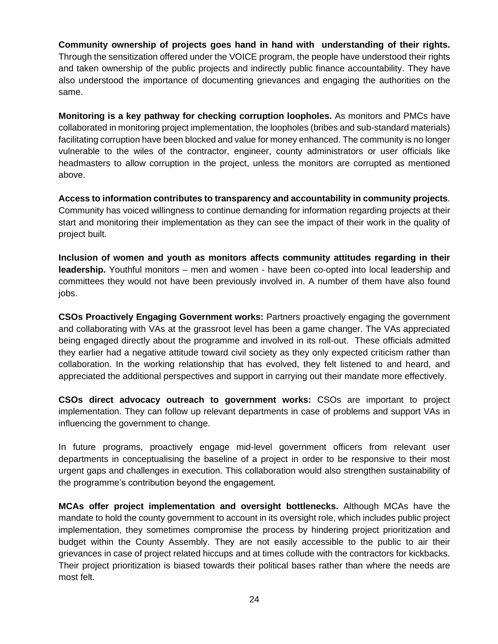**Community ownership of projects goes hand in hand with understanding of their rights.** Through the sensitization offered under the VOICE program, the people have understood their rights and taken ownership of the public projects and indirectly public finance accountability. They have also understood the importance of documenting grievances and engaging the authorities on the same.

**Monitoring is a key pathway for checking corruption loopholes.** As monitors and PMCs have collaborated in monitoring project implementation, the loopholes (bribes and sub-standard materials) facilitating corruption have been blocked and value for money enhanced. The community is no longer vulnerable to the wiles of the contractor, engineer, county administrators or user officials like headmasters to allow corruption in the project, unless the monitors are corrupted as mentioned above.

**Access to information contributes to transparency and accountability in community projects**. Community has voiced willingness to continue demanding for information regarding projects at their start and monitoring their implementation as they can see the impact of their work in the quality of project built.

**Inclusion of women and youth as monitors affects community attitudes regarding in their leadership.** Youthful monitors – men and women - have been co-opted into local leadership and committees they would not have been previously involved in. A number of them have also found jobs.

**CSOs Proactively Engaging Government works:** Partners proactively engaging the government and collaborating with VAs at the grassroot level has been a game changer. The VAs appreciated being engaged directly about the programme and involved in its roll-out. These officials admitted they earlier had a negative attitude toward civil society as they only expected criticism rather than collaboration. In the working relationship that has evolved, they felt listened to and heard, and appreciated the additional perspectives and support in carrying out their mandate more effectively.

**CSOs direct advocacy outreach to government works:** CSOs are important to project implementation. They can follow up relevant departments in case of problems and support VAs in influencing the government to change.

In future programs, proactively engage mid-level government officers from relevant user departments in conceptualising the baseline of a project in order to be responsive to their most urgent gaps and challenges in execution. This collaboration would also strengthen sustainability of the programme's contribution beyond the engagement.

**MCAs offer project implementation and oversight bottlenecks.** Although MCAs have the mandate to hold the county government to account in its oversight role, which includes public project implementation, they sometimes compromise the process by hindering project prioritization and budget within the County Assembly. They are not easily accessible to the public to air their grievances in case of project related hiccups and at times collude with the contractors for kickbacks. Their project prioritization is biased towards their political bases rather than where the needs are most felt.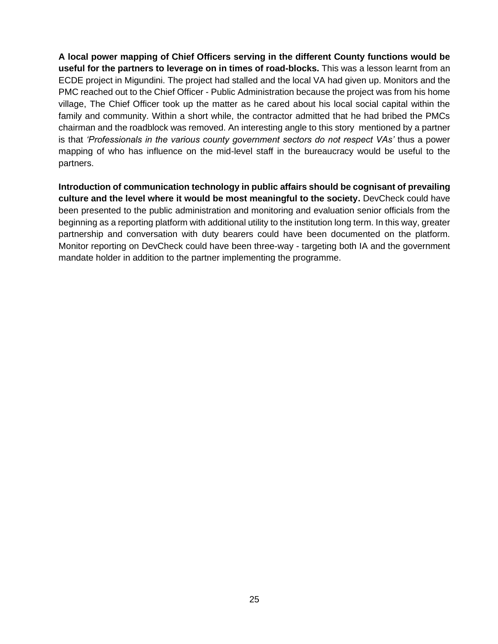**A local power mapping of Chief Officers serving in the different County functions would be useful for the partners to leverage on in times of road-blocks.** This was a lesson learnt from an ECDE project in Migundini. The project had stalled and the local VA had given up. Monitors and the PMC reached out to the Chief Officer - Public Administration because the project was from his home village, The Chief Officer took up the matter as he cared about his local social capital within the family and community. Within a short while, the contractor admitted that he had bribed the PMCs chairman and the roadblock was removed. An interesting angle to this story mentioned by a partner is that *'Professionals in the various county government sectors do not respect VAs'* thus a power mapping of who has influence on the mid-level staff in the bureaucracy would be useful to the partners.

**Introduction of communication technology in public affairs should be cognisant of prevailing culture and the level where it would be most meaningful to the society.** DevCheck could have been presented to the public administration and monitoring and evaluation senior officials from the beginning as a reporting platform with additional utility to the institution long term. In this way, greater partnership and conversation with duty bearers could have been documented on the platform. Monitor reporting on DevCheck could have been three-way - targeting both IA and the government mandate holder in addition to the partner implementing the programme.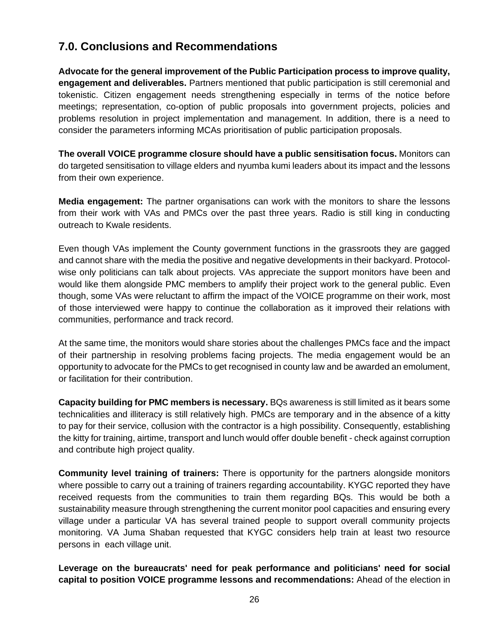# <span id="page-25-0"></span>**7.0. Conclusions and Recommendations**

**Advocate for the general improvement of the Public Participation process to improve quality, engagement and deliverables.** Partners mentioned that public participation is still ceremonial and tokenistic. Citizen engagement needs strengthening especially in terms of the notice before meetings; representation, co-option of public proposals into government projects, policies and problems resolution in project implementation and management. In addition, there is a need to consider the parameters informing MCAs prioritisation of public participation proposals.

**The overall VOICE programme closure should have a public sensitisation focus.** Monitors can do targeted sensitisation to village elders and nyumba kumi leaders about its impact and the lessons from their own experience.

**Media engagement:** The partner organisations can work with the monitors to share the lessons from their work with VAs and PMCs over the past three years. Radio is still king in conducting outreach to Kwale residents.

Even though VAs implement the County government functions in the grassroots they are gagged and cannot share with the media the positive and negative developments in their backyard. Protocolwise only politicians can talk about projects. VAs appreciate the support monitors have been and would like them alongside PMC members to amplify their project work to the general public. Even though, some VAs were reluctant to affirm the impact of the VOICE programme on their work, most of those interviewed were happy to continue the collaboration as it improved their relations with communities, performance and track record.

At the same time, the monitors would share stories about the challenges PMCs face and the impact of their partnership in resolving problems facing projects. The media engagement would be an opportunity to advocate for the PMCs to get recognised in county law and be awarded an emolument, or facilitation for their contribution.

**Capacity building for PMC members is necessary.** BQs awareness is still limited as it bears some technicalities and illiteracy is still relatively high. PMCs are temporary and in the absence of a kitty to pay for their service, collusion with the contractor is a high possibility. Consequently, establishing the kitty for training, airtime, transport and lunch would offer double benefit - check against corruption and contribute high project quality.

**Community level training of trainers:** There is opportunity for the partners alongside monitors where possible to carry out a training of trainers regarding accountability. KYGC reported they have received requests from the communities to train them regarding BQs. This would be both a sustainability measure through strengthening the current monitor pool capacities and ensuring every village under a particular VA has several trained people to support overall community projects monitoring. VA Juma Shaban requested that KYGC considers help train at least two resource persons in each village unit.

**Leverage on the bureaucrats' need for peak performance and politicians' need for social capital to position VOICE programme lessons and recommendations:** Ahead of the election in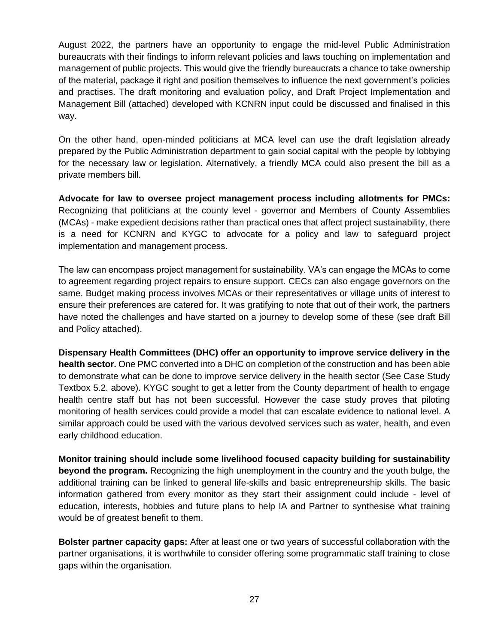August 2022, the partners have an opportunity to engage the mid-level Public Administration bureaucrats with their findings to inform relevant policies and laws touching on implementation and management of public projects. This would give the friendly bureaucrats a chance to take ownership of the material, package it right and position themselves to influence the next government's policies and practises. The draft monitoring and evaluation policy, and Draft Project Implementation and Management Bill (attached) developed with KCNRN input could be discussed and finalised in this way.

On the other hand, open-minded politicians at MCA level can use the draft legislation already prepared by the Public Administration department to gain social capital with the people by lobbying for the necessary law or legislation. Alternatively, a friendly MCA could also present the bill as a private members bill.

**Advocate for law to oversee project management process including allotments for PMCs:** Recognizing that politicians at the county level - governor and Members of County Assemblies (MCAs) - make expedient decisions rather than practical ones that affect project sustainability, there is a need for KCNRN and KYGC to advocate for a policy and law to safeguard project implementation and management process.

The law can encompass project management for sustainability. VA's can engage the MCAs to come to agreement regarding project repairs to ensure support. CECs can also engage governors on the same. Budget making process involves MCAs or their representatives or village units of interest to ensure their preferences are catered for. It was gratifying to note that out of their work, the partners have noted the challenges and have started on a journey to develop some of these (see draft Bill and Policy attached).

**Dispensary Health Committees (DHC) offer an opportunity to improve service delivery in the health sector.** One PMC converted into a DHC on completion of the construction and has been able to demonstrate what can be done to improve service delivery in the health sector (See Case Study Textbox 5.2. above). KYGC sought to get a letter from the County department of health to engage health centre staff but has not been successful. However the case study proves that piloting monitoring of health services could provide a model that can escalate evidence to national level. A similar approach could be used with the various devolved services such as water, health, and even early childhood education.

**Monitor training should include some livelihood focused capacity building for sustainability beyond the program.** Recognizing the high unemployment in the country and the youth bulge, the additional training can be linked to general life-skills and basic entrepreneurship skills. The basic information gathered from every monitor as they start their assignment could include - level of education, interests, hobbies and future plans to help IA and Partner to synthesise what training would be of greatest benefit to them.

**Bolster partner capacity gaps:** After at least one or two years of successful collaboration with the partner organisations, it is worthwhile to consider offering some programmatic staff training to close gaps within the organisation.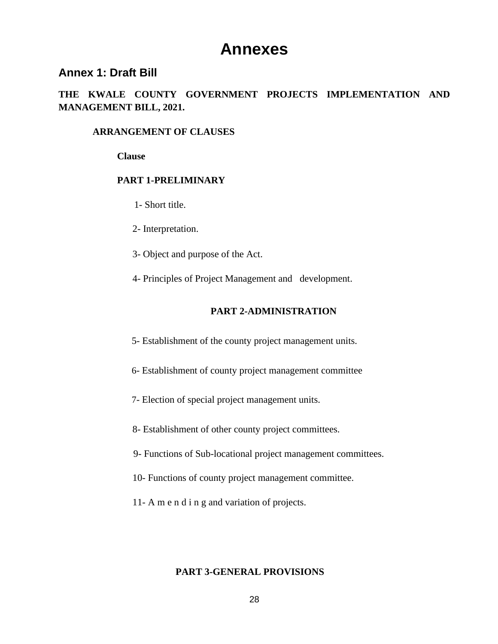# **Annexes**

# <span id="page-27-1"></span><span id="page-27-0"></span>**Annex 1: Draft Bill**

# **THE KWALE COUNTY GOVERNMENT PROJECTS IMPLEMENTATION AND MANAGEMENT BILL, 2021.**

#### **ARRANGEMENT OF CLAUSES**

**Clause**

#### **PART 1-PRELIMINARY**

- 1- Short title.
- 2- Interpretation.
- 3- Object and purpose of the Act.
- 4- Principles of Project Management and development.

### **PART 2-ADMINISTRATION**

- 5- Establishment of the county project management units.
- 6- Establishment of county project management committee
- 7- Election of special project management units.
- 8- Establishment of other county project committees.
- 9- Functions of Sub-locational project management committees.
- 10- Functions of county project management committee.
- 11- A m e n d i n g and variation of projects.

#### **PART 3-GENERAL PROVISIONS**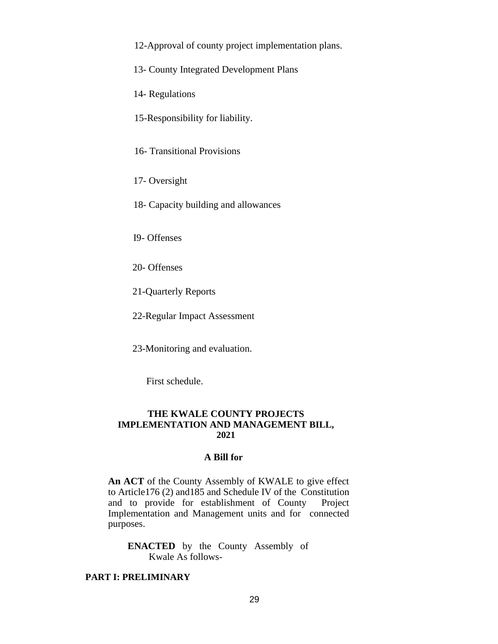12-Approval of county project implementation plans.

13- County Integrated Development Plans

14- Regulations

15-Responsibility for liability.

16- Transitional Provisions

17- Oversight

18- Capacity building and allowances

I9- Offenses

20- Offenses

21-Quarterly Reports

22-Regular Impact Assessment

23-Monitoring and evaluation.

First schedule.

#### **THE KWALE COUNTY PROJECTS IMPLEMENTATION AND MANAGEMENT BILL, 2021**

#### **A Bill for**

**An ACT** of the County Assembly of KWALE to give effect to Article176 (2) and185 and Schedule IV of the Constitution and to provide for establishment of County Project Implementation and Management units and for connected purposes.

**ENACTED** by the County Assembly of Kwale As follows-

#### **PART I: PRELIMINARY**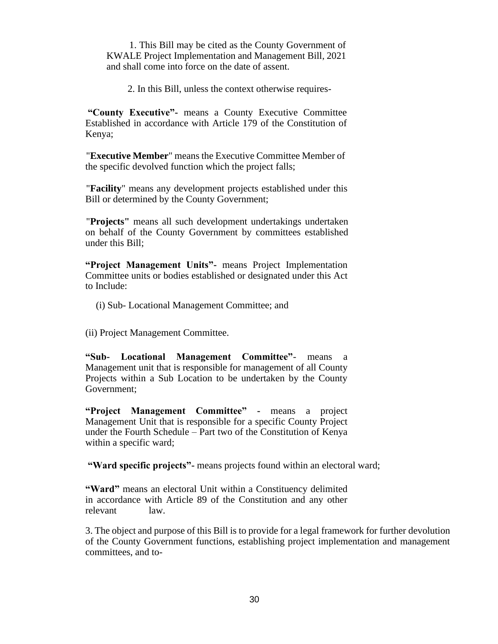1. This Bill may be cited as the County Government of KWALE Project Implementation and Management Bill, 2021 and shall come into force on the date of assent.

2. In this Bill, unless the context otherwise requires-

**"County Executive"-** means a County Executive Committee Established in accordance with Article 179 of the Constitution of Kenya;

"**Executive Member**" means the Executive Committee Member of the specific devolved function which the project falls;

"**Facility**" means any development projects established under this Bill or determined by the County Government;

"**Projects"** means all such development undertakings undertaken on behalf of the County Government by committees established under this Bill;

**"Project Management Units"-** means Project Implementation Committee units or bodies established or designated under this Act to Include:

(i) Sub- Locational Management Committee; and

(ii) Project Management Committee.

**"Sub- Locational Management Committee"**- means a Management unit that is responsible for management of all County Projects within a Sub Location to be undertaken by the County Government;

**"Project Management Committee" -** means a project Management Unit that is responsible for a specific County Project under the Fourth Schedule – Part two of the Constitution of Kenya within a specific ward;

**"Ward specific projects"-** means projects found within an electoral ward;

**"Ward"** means an electoral Unit within a Constituency delimited in accordance with Article 89 of the Constitution and any other relevant law.

3. The object and purpose of this Bill is to provide for a legal framework for further devolution of the County Government functions, establishing project implementation and management committees, and to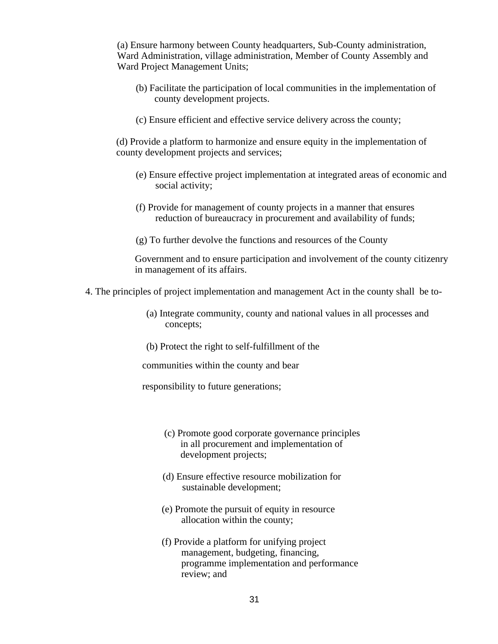(a) Ensure harmony between County headquarters, Sub-County administration, Ward Administration, village administration, Member of County Assembly and Ward Project Management Units;

- (b) Facilitate the participation of local communities in the implementation of county development projects.
- (c) Ensure efficient and effective service delivery across the county;

(d) Provide a platform to harmonize and ensure equity in the implementation of county development projects and services;

- (e) Ensure effective project implementation at integrated areas of economic and social activity;
- (f) Provide for management of county projects in a manner that ensures reduction of bureaucracy in procurement and availability of funds;
- (g) To further devolve the functions and resources of the County

Government and to ensure participation and involvement of the county citizenry in management of its affairs.

- 4. The principles of project implementation and management Act in the county shall be to-
	- (a) Integrate community, county and national values in all processes and concepts;
	- (b) Protect the right to self-fulfillment of the

communities within the county and bear

responsibility to future generations;

- (c) Promote good corporate governance principles in all procurement and implementation of development projects;
- (d) Ensure effective resource mobilization for sustainable development;
- (e) Promote the pursuit of equity in resource allocation within the county;
- (f) Provide a platform for unifying project management, budgeting, financing, programme implementation and performance review; and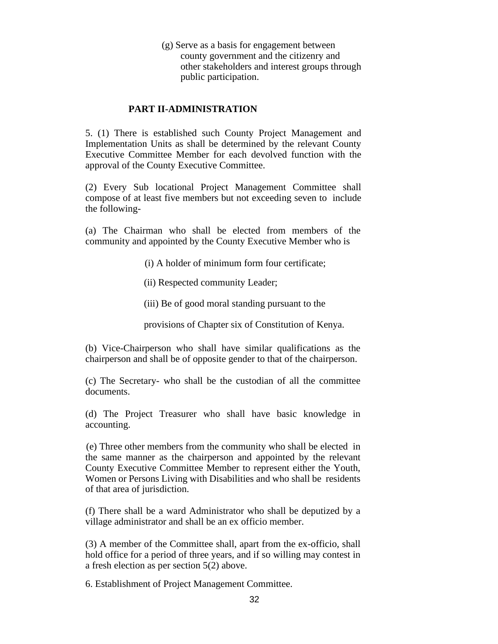(g) Serve as a basis for engagement between county government and the citizenry and other stakeholders and interest groups through public participation.

### **PART II-ADMINISTRATION**

5. (1) There is established such County Project Management and Implementation Units as shall be determined by the relevant County Executive Committee Member for each devolved function with the approval of the County Executive Committee.

(2) Every Sub locational Project Management Committee shall compose of at least five members but not exceeding seven to include the following-

(a) The Chairman who shall be elected from members of the community and appointed by the County Executive Member who is

(i) A holder of minimum form four certificate;

- (ii) Respected community Leader;
- (iii) Be of good moral standing pursuant to the
- provisions of Chapter six of Constitution of Kenya.

(b) Vice-Chairperson who shall have similar qualifications as the chairperson and shall be of opposite gender to that of the chairperson.

(c) The Secretary- who shall be the custodian of all the committee documents.

(d) The Project Treasurer who shall have basic knowledge in accounting.

(e) Three other members from the community who shall be elected in the same manner as the chairperson and appointed by the relevant County Executive Committee Member to represent either the Youth, Women or Persons Living with Disabilities and who shall be residents of that area of jurisdiction.

(f) There shall be a ward Administrator who shall be deputized by a village administrator and shall be an ex officio member.

(3) A member of the Committee shall, apart from the ex-officio, shall hold office for a period of three years, and if so willing may contest in a fresh election as per section 5(2) above.

6. Establishment of Project Management Committee.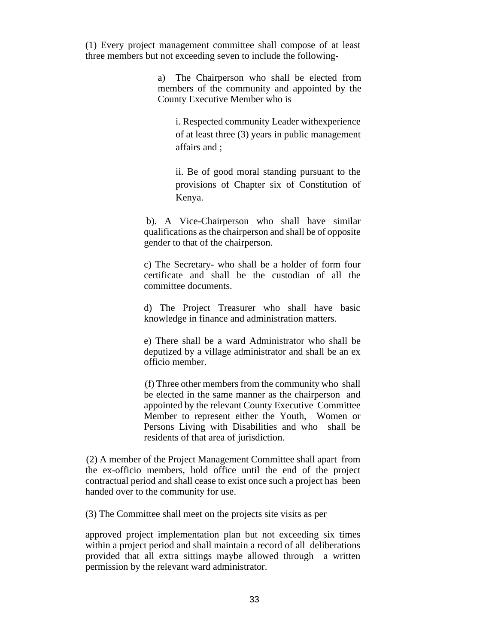(1) Every project management committee shall compose of at least three members but not exceeding seven to include the following-

> a) The Chairperson who shall be elected from members of the community and appointed by the County Executive Member who is

i. Respected community Leader withexperience of at least three (3) years in public management affairs and ;

ii. Be of good moral standing pursuant to the provisions of Chapter six of Constitution of Kenya.

b). A Vice-Chairperson who shall have similar qualifications as the chairperson and shall be of opposite gender to that of the chairperson.

c) The Secretary- who shall be a holder of form four certificate and shall be the custodian of all the committee documents.

d) The Project Treasurer who shall have basic knowledge in finance and administration matters.

e) There shall be a ward Administrator who shall be deputized by a village administrator and shall be an ex officio member.

(f) Three other members from the community who shall be elected in the same manner as the chairperson and appointed by the relevant County Executive Committee Member to represent either the Youth, Women or Persons Living with Disabilities and who shall be residents of that area of jurisdiction.

(2) A member of the Project Management Committee shall apart from the ex-officio members, hold office until the end of the project contractual period and shall cease to exist once such a project has been handed over to the community for use.

(3) The Committee shall meet on the projects site visits as per

approved project implementation plan but not exceeding six times within a project period and shall maintain a record of all deliberations provided that all extra sittings maybe allowed through a written permission by the relevant ward administrator.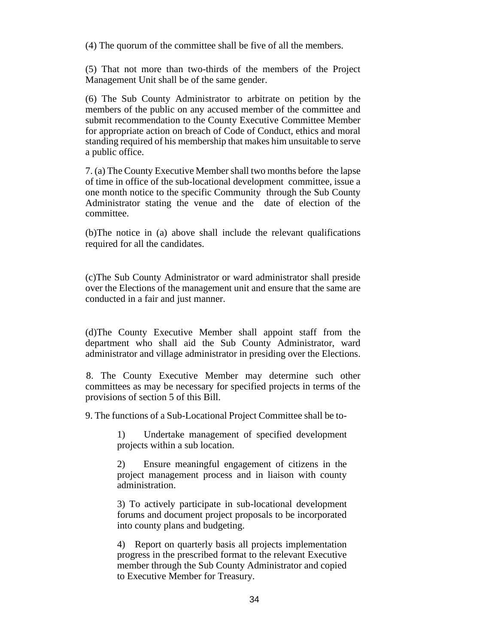(4) The quorum of the committee shall be five of all the members.

(5) That not more than two-thirds of the members of the Project Management Unit shall be of the same gender.

(6) The Sub County Administrator to arbitrate on petition by the members of the public on any accused member of the committee and submit recommendation to the County Executive Committee Member for appropriate action on breach of Code of Conduct, ethics and moral standing required of his membership that makes him unsuitable to serve a public office.

7. (a) The County Executive Member shall two months before the lapse of time in office of the sub-locational development committee, issue a one month notice to the specific Community through the Sub County Administrator stating the venue and the date of election of the committee.

(b)The notice in (a) above shall include the relevant qualifications required for all the candidates.

(c)The Sub County Administrator or ward administrator shall preside over the Elections of the management unit and ensure that the same are conducted in a fair and just manner.

(d)The County Executive Member shall appoint staff from the department who shall aid the Sub County Administrator, ward administrator and village administrator in presiding over the Elections.

8. The County Executive Member may determine such other committees as may be necessary for specified projects in terms of the provisions of section 5 of this Bill.

9. The functions of a Sub-Locational Project Committee shall be to-

1) Undertake management of specified development projects within a sub location.

2) Ensure meaningful engagement of citizens in the project management process and in liaison with county administration.

3) To actively participate in sub-locational development forums and document project proposals to be incorporated into county plans and budgeting.

4) Report on quarterly basis all projects implementation progress in the prescribed format to the relevant Executive member through the Sub County Administrator and copied to Executive Member for Treasury.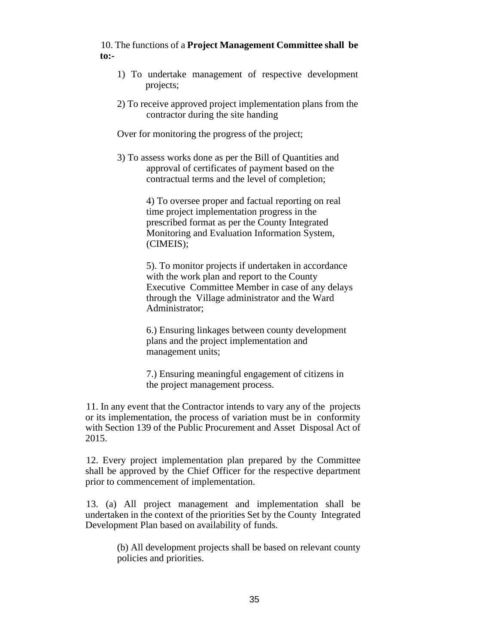10. The functions of a **Project Management Committee shall be to:-**

- 1) To undertake management of respective development projects;
- 2) To receive approved project implementation plans from the contractor during the site handing

Over for monitoring the progress of the project;

3) To assess works done as per the Bill of Quantities and approval of certificates of payment based on the contractual terms and the level of completion;

> 4) To oversee proper and factual reporting on real time project implementation progress in the prescribed format as per the County Integrated Monitoring and Evaluation Information System, (CIMEIS);

5). To monitor projects if undertaken in accordance with the work plan and report to the County Executive Committee Member in case of any delays through the Village administrator and the Ward Administrator;

6.) Ensuring linkages between county development plans and the project implementation and management units;

7.) Ensuring meaningful engagement of citizens in the project management process.

11. In any event that the Contractor intends to vary any of the projects or its implementation, the process of variation must be in conformity with Section 139 of the Public Procurement and Asset Disposal Act of 2015.

12. Every project implementation plan prepared by the Committee shall be approved by the Chief Officer for the respective department prior to commencement of implementation.

13. (a) All project management and implementation shall be undertaken in the context of the priorities Set by the County Integrated Development Plan based on availability of funds.

> (b) All development projects shall be based on relevant county policies and priorities.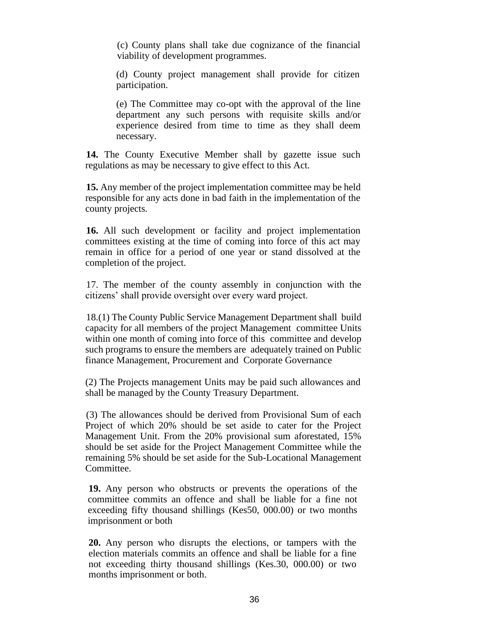(c) County plans shall take due cognizance of the financial viability of development programmes.

(d) County project management shall provide for citizen participation.

(e) The Committee may co-opt with the approval of the line department any such persons with requisite skills and/or experience desired from time to time as they shall deem necessary.

**14.** The County Executive Member shall by gazette issue such regulations as may be necessary to give effect to this Act.

**15.** Any member of the project implementation committee may be held responsible for any acts done in bad faith in the implementation of the county projects.

**16.** All such development or facility and project implementation committees existing at the time of coming into force of this act may remain in office for a period of one year or stand dissolved at the completion of the project.

17. The member of the county assembly in conjunction with the citizens' shall provide oversight over every ward project.

18.(1) The County Public Service Management Department shall build capacity for all members of the project Management committee Units within one month of coming into force of this committee and develop such programs to ensure the members are adequately trained on Public finance Management, Procurement and Corporate Governance

(2) The Projects management Units may be paid such allowances and shall be managed by the County Treasury Department.

(3) The allowances should be derived from Provisional Sum of each Project of which 20% should be set aside to cater for the Project Management Unit. From the 20% provisional sum aforestated, 15% should be set aside for the Project Management Committee while the remaining 5% should be set aside for the Sub-Locational Management Committee.

**19.** Any person who obstructs or prevents the operations of the committee commits an offence and shall be liable for a fine not exceeding fifty thousand shillings (Kes50, 000.00) or two months imprisonment or both

**20.** Any person who disrupts the elections, or tampers with the election materials commits an offence and shall be liable for a fine not exceeding thirty thousand shillings (Kes.30, 000.00) or two months imprisonment or both.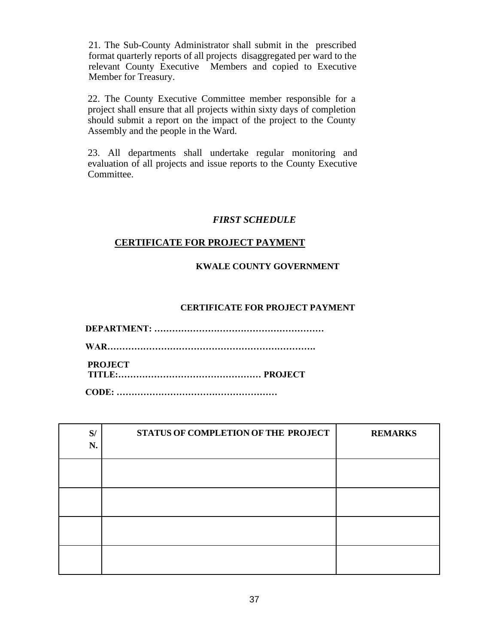21. The Sub-County Administrator shall submit in the prescribed format quarterly reports of all projects disaggregated per ward to the relevant County Executive Members and copied to Executive Member for Treasury.

22. The County Executive Committee member responsible for a project shall ensure that all projects within sixty days of completion should submit a report on the impact of the project to the County Assembly and the people in the Ward.

23. All departments shall undertake regular monitoring and evaluation of all projects and issue reports to the County Executive Committee.

#### *FIRST SCHEDULE*

#### **CERTIFICATE FOR PROJECT PAYMENT**

#### **KWALE COUNTY GOVERNMENT**

#### **CERTIFICATE FOR PROJECT PAYMENT**

**DEPARTMENT: ………………………………………………… WAR……………………………………………………………. PROJECT TITLE:………………………………………… PROJECT**

**CODE: ………………………………………………**

| S/<br>N. | <b>STATUS OF COMPLETION OF THE PROJECT</b> | <b>REMARKS</b> |
|----------|--------------------------------------------|----------------|
|          |                                            |                |
|          |                                            |                |
|          |                                            |                |
|          |                                            |                |